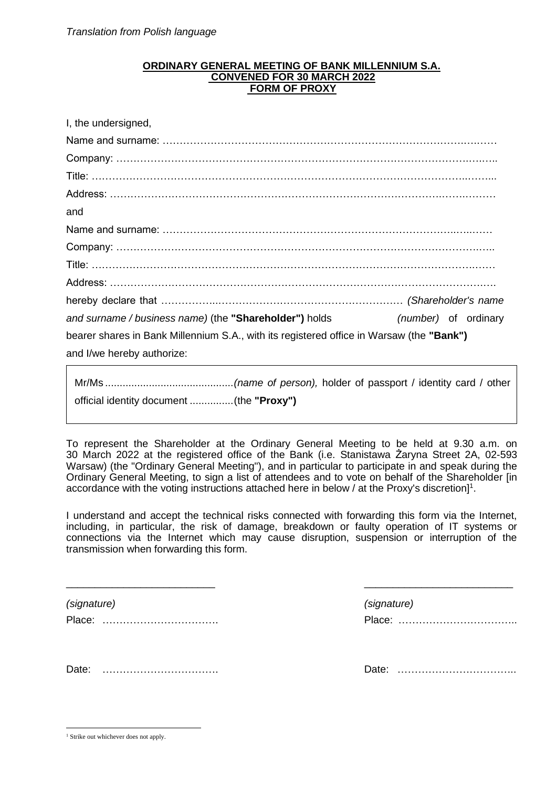# **ORDINARY GENERAL MEETING OF BANK MILLENNIUM S.A. CONVENED FOR 30 MARCH 2022 FORM OF PROXY**

| and I/we hereby authorize:                                                               |                      |
|------------------------------------------------------------------------------------------|----------------------|
| bearer shares in Bank Millennium S.A., with its registered office in Warsaw (the "Bank") |                      |
| and surname / business name) (the "Shareholder") holds                                   | (number) of ordinary |
|                                                                                          |                      |
|                                                                                          |                      |
|                                                                                          |                      |
|                                                                                          |                      |
|                                                                                          |                      |
| and                                                                                      |                      |
|                                                                                          |                      |
|                                                                                          |                      |
|                                                                                          |                      |
|                                                                                          |                      |
| I, the undersigned,                                                                      |                      |

Mr/Ms ............................................*(name of person),* holder of passport / identity card / other official identity document ...............(the **"Proxy")**

To represent the Shareholder at the Ordinary General Meeting to be held at 9.30 a.m. on 30 March 2022 at the registered office of the Bank (i.e. Stanistawa Żaryna Street 2A, 02-593 Warsaw) (the "Ordinary General Meeting"), and in particular to participate in and speak during the Ordinary General Meeting, to sign a list of attendees and to vote on behalf of the Shareholder [in accordance with the voting instructions attached here in below / at the Proxy's discretion]<sup>1</sup>.

I understand and accept the technical risks connected with forwarding this form via the Internet, including, in particular, the risk of damage, breakdown or faulty operation of IT systems or connections via the Internet which may cause disruption, suspension or interruption of the transmission when forwarding this form.

\_\_\_\_\_\_\_\_\_\_\_\_\_\_\_\_\_\_\_\_\_\_\_\_\_\_ \_\_\_\_\_\_\_\_\_\_\_\_\_\_\_\_\_\_\_\_\_\_\_\_\_\_

*(signature) (signature)*

Place: ……………………………. Place: ……………………………..

Date: ……………………………. Date: ……………………………..

<sup>1</sup> Strike out whichever does not apply.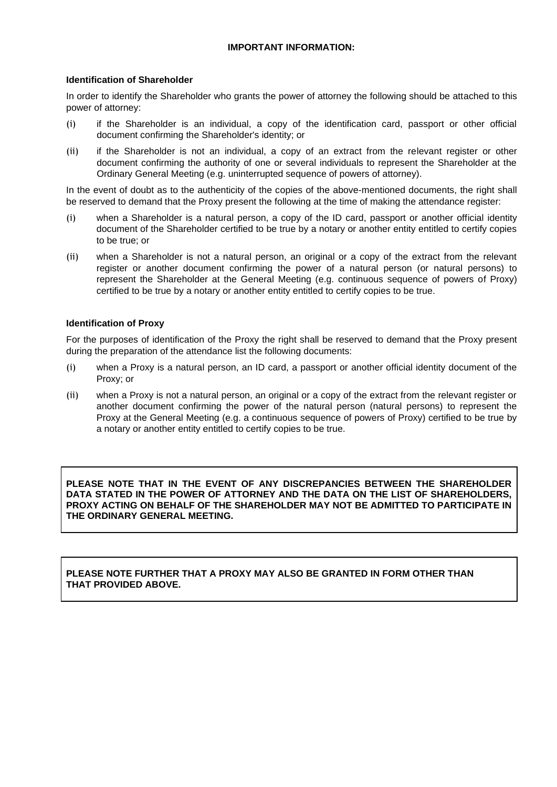# **IMPORTANT INFORMATION:**

### **Identification of Shareholder**

In order to identify the Shareholder who grants the power of attorney the following should be attached to this power of attorney:

- (i) if the Shareholder is an individual, a copy of the identification card, passport or other official document confirming the Shareholder's identity; or
- (ii) if the Shareholder is not an individual, a copy of an extract from the relevant register or other document confirming the authority of one or several individuals to represent the Shareholder at the Ordinary General Meeting (e.g. uninterrupted sequence of powers of attorney).

In the event of doubt as to the authenticity of the copies of the above-mentioned documents, the right shall be reserved to demand that the Proxy present the following at the time of making the attendance register:

- (i) when a Shareholder is a natural person, a copy of the ID card, passport or another official identity document of the Shareholder certified to be true by a notary or another entity entitled to certify copies to be true; or
- (ii) when a Shareholder is not a natural person, an original or a copy of the extract from the relevant register or another document confirming the power of a natural person (or natural persons) to represent the Shareholder at the General Meeting (e.g. continuous sequence of powers of Proxy) certified to be true by a notary or another entity entitled to certify copies to be true.

# **Identification of Proxy**

For the purposes of identification of the Proxy the right shall be reserved to demand that the Proxy present during the preparation of the attendance list the following documents:

- (i) when a Proxy is a natural person, an ID card, a passport or another official identity document of the Proxy; or
- (ii) when a Proxy is not a natural person, an original or a copy of the extract from the relevant register or another document confirming the power of the natural person (natural persons) to represent the Proxy at the General Meeting (e.g. a continuous sequence of powers of Proxy) certified to be true by a notary or another entity entitled to certify copies to be true.

**PLEASE NOTE THAT IN THE EVENT OF ANY DISCREPANCIES BETWEEN THE SHAREHOLDER DATA STATED IN THE POWER OF ATTORNEY AND THE DATA ON THE LIST OF SHAREHOLDERS, PROXY ACTING ON BEHALF OF THE SHAREHOLDER MAY NOT BE ADMITTED TO PARTICIPATE IN THE ORDINARY GENERAL MEETING.**

**PLEASE NOTE FURTHER THAT A PROXY MAY ALSO BE GRANTED IN FORM OTHER THAN THAT PROVIDED ABOVE.**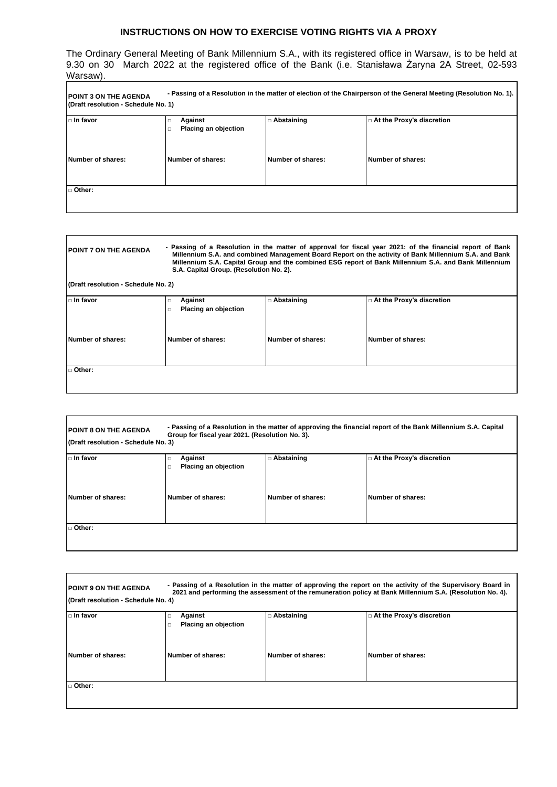# **INSTRUCTIONS ON HOW TO EXERCISE VOTING RIGHTS VIA A PROXY**

The Ordinary General Meeting of Bank Millennium S.A., with its registered office in Warsaw, is to be held at 9.30 on 30 March 2022 at the registered office of the Bank (i.e. Stanisława Żaryna 2A Street, 02-593 Warsaw).

| - Passing of a Resolution in the matter of election of the Chairperson of the General Meeting (Resolution No. 1).<br><b>POINT 3 ON THE AGENDA</b><br>(Draft resolution - Schedule No. 1) |                                                |                   |                           |
|------------------------------------------------------------------------------------------------------------------------------------------------------------------------------------------|------------------------------------------------|-------------------|---------------------------|
| $\Box$ In favor                                                                                                                                                                          | Against                                        | □ Abstaining      | At the Proxy's discretion |
| Number of shares:                                                                                                                                                                        | Placing an objection<br>□<br>Number of shares: | Number of shares: | Number of shares:         |
| □ Other:                                                                                                                                                                                 |                                                |                   |                           |

| <b>POINT 7 ON THE AGENDA</b>        | - Passing of a Resolution in the matter of approval for fiscal year 2021: of the financial report of Bank<br>Millennium S.A. and combined Management Board Report on the activity of Bank Millennium S.A. and Bank<br>Millennium S.A. Capital Group and the combined ESG report of Bank Millennium S.A. and Bank Millennium<br>S.A. Capital Group. (Resolution No. 2). |                   |                             |  |
|-------------------------------------|------------------------------------------------------------------------------------------------------------------------------------------------------------------------------------------------------------------------------------------------------------------------------------------------------------------------------------------------------------------------|-------------------|-----------------------------|--|
| (Draft resolution - Schedule No. 2) |                                                                                                                                                                                                                                                                                                                                                                        |                   |                             |  |
| ∣ ⊓ In favor                        | Against<br>п<br>Placing an objection                                                                                                                                                                                                                                                                                                                                   | □ Abstaining      | □ At the Proxy's discretion |  |
| Number of shares:                   | Number of shares:                                                                                                                                                                                                                                                                                                                                                      | Number of shares: | Number of shares:           |  |
| $\sqcap$ Other:                     |                                                                                                                                                                                                                                                                                                                                                                        |                   |                             |  |

| - Passing of a Resolution in the matter of approving the financial report of the Bank Millennium S.A. Capital<br><b>POINT 8 ON THE AGENDA</b><br>Group for fiscal year 2021. (Resolution No. 3).<br>(Draft resolution - Schedule No. 3) |                                      |                   |                             |
|-----------------------------------------------------------------------------------------------------------------------------------------------------------------------------------------------------------------------------------------|--------------------------------------|-------------------|-----------------------------|
| l □ In favor                                                                                                                                                                                                                            | Against<br>□<br>Placing an objection | $\Box$ Abstaining | □ At the Proxy's discretion |
| Number of shares:                                                                                                                                                                                                                       | Number of shares:                    | Number of shares: | Number of shares:           |
| □ Other:                                                                                                                                                                                                                                |                                      |                   |                             |

| - Passing of a Resolution in the matter of approving the report on the activity of the Supervisory Board in<br><b>POINT 9 ON THE AGENDA</b><br>2021 and performing the assessment of the remuneration policy at Bank Millennium S.A. (Resolution No. 4).<br>(Draft resolution - Schedule No. 4) |                                           |                   |                                  |
|-------------------------------------------------------------------------------------------------------------------------------------------------------------------------------------------------------------------------------------------------------------------------------------------------|-------------------------------------------|-------------------|----------------------------------|
| $\ln$ In favor                                                                                                                                                                                                                                                                                  | Against                                   | □ Abstaining      | $\Box$ At the Proxy's discretion |
| Number of shares:                                                                                                                                                                                                                                                                               | Placing an objection<br>Number of shares: | Number of shares: | Number of shares:                |
|                                                                                                                                                                                                                                                                                                 |                                           |                   |                                  |
| □ Other:                                                                                                                                                                                                                                                                                        |                                           |                   |                                  |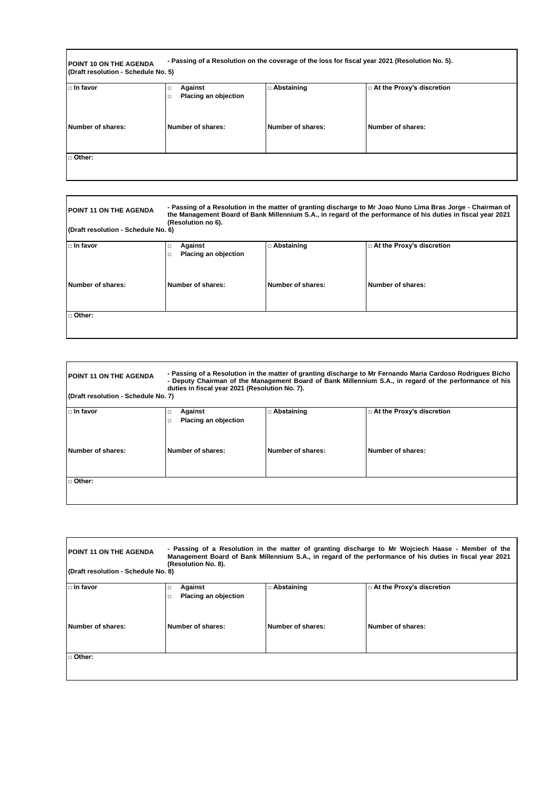| POINT 10 ON THE AGENDA              | - Passing of a Resolution on the coverage of the loss for fiscal year 2021 (Resolution No. 5). |
|-------------------------------------|------------------------------------------------------------------------------------------------|
| (Draft resolution - Schedule No. 5) |                                                                                                |

| $\Box$ In favor   | Against<br>$\Box$<br>Placing an objection<br>$\Box$ | □ Abstaining      | □ At the Proxy's discretion |
|-------------------|-----------------------------------------------------|-------------------|-----------------------------|
| Number of shares: | Number of shares:                                   | Number of shares: | Number of shares:           |
| □ Other:          |                                                     |                   |                             |

| - Passing of a Resolution in the matter of granting discharge to Mr Joao Nuno Lima Bras Jorge - Chairman of<br><b>POINT 11 ON THE AGENDA</b><br>the Management Board of Bank Millennium S.A., in regard of the performance of his duties in fiscal year 2021<br>(Resolution no 6).<br>(Draft resolution - Schedule No. 6) |                                |                   |                             |
|---------------------------------------------------------------------------------------------------------------------------------------------------------------------------------------------------------------------------------------------------------------------------------------------------------------------------|--------------------------------|-------------------|-----------------------------|
| $\Box$ In favor                                                                                                                                                                                                                                                                                                           | Against<br>$\Box$              | $\Box$ Abstaining | □ At the Proxy's discretion |
|                                                                                                                                                                                                                                                                                                                           | Placing an objection<br>$\Box$ |                   |                             |
| Number of shares:                                                                                                                                                                                                                                                                                                         | Number of shares:              | Number of shares: | Number of shares:           |
| □ Other:                                                                                                                                                                                                                                                                                                                  |                                |                   |                             |

| - Passing of a Resolution in the matter of granting discharge to Mr Fernando Maria Cardoso Rodrigues Bicho<br><b>POINT 11 ON THE AGENDA</b><br>- Deputy Chairman of the Management Board of Bank Millennium S.A., in regard of the performance of his<br>duties in fiscal year 2021 (Resolution No. 7).<br>(Draft resolution - Schedule No. 7) |                                                |                   |                             |
|------------------------------------------------------------------------------------------------------------------------------------------------------------------------------------------------------------------------------------------------------------------------------------------------------------------------------------------------|------------------------------------------------|-------------------|-----------------------------|
| $\ln$ In favor                                                                                                                                                                                                                                                                                                                                 | Against<br>$\Box$                              | $\Box$ Abstaining | □ At the Proxy's discretion |
| Number of shares:                                                                                                                                                                                                                                                                                                                              | Placing an objection<br>□<br>Number of shares: | Number of shares: | Number of shares:           |
|                                                                                                                                                                                                                                                                                                                                                |                                                |                   |                             |
| $\Box$ Other:                                                                                                                                                                                                                                                                                                                                  |                                                |                   |                             |
|                                                                                                                                                                                                                                                                                                                                                |                                                |                   |                             |

 $\blacksquare$ 

 $\overline{\phantom{0}}$ 

| - Passing of a Resolution in the matter of granting discharge to Mr Wojciech Haase - Member of the<br>POINT 11 ON THE AGENDA<br>Management Board of Bank Millennium S.A., in regard of the performance of his duties in fiscal year 2021<br>(Resolution No. 8).<br>(Draft resolution - Schedule No. 8) |                                                     |                   |                             |
|--------------------------------------------------------------------------------------------------------------------------------------------------------------------------------------------------------------------------------------------------------------------------------------------------------|-----------------------------------------------------|-------------------|-----------------------------|
| $\Box$ In favor                                                                                                                                                                                                                                                                                        | Against<br>$\Box$                                   | □ Abstaining      | □ At the Proxy's discretion |
| Number of shares:                                                                                                                                                                                                                                                                                      | Placing an objection<br>$\Box$<br>Number of shares: | Number of shares: | Number of shares:           |
| $\Box$ Other:                                                                                                                                                                                                                                                                                          |                                                     |                   |                             |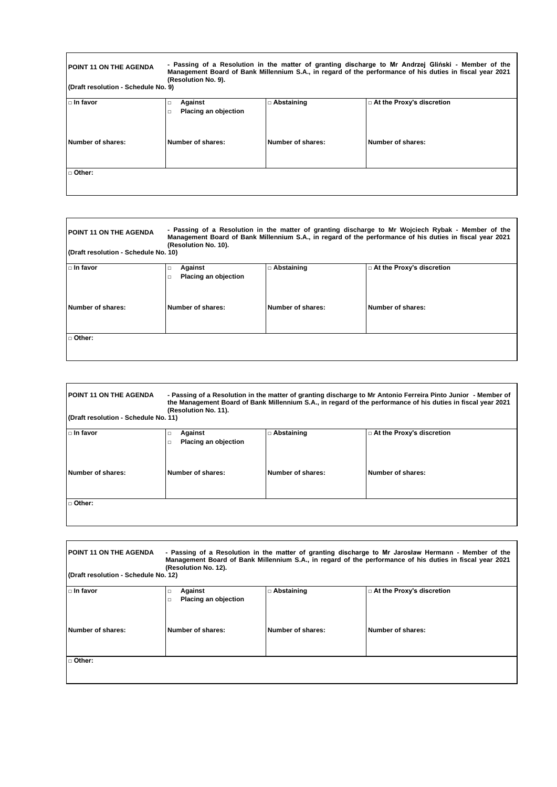| - Passing of a Resolution in the matter of granting discharge to Mr Andrzej Gliński - Member of the<br><b>POINT 11 ON THE AGENDA</b><br>Management Board of Bank Millennium S.A., in regard of the performance of his duties in fiscal year 2021<br>(Resolution No. 9).<br>(Draft resolution - Schedule No. 9) |                                                     |                   |                             |
|----------------------------------------------------------------------------------------------------------------------------------------------------------------------------------------------------------------------------------------------------------------------------------------------------------------|-----------------------------------------------------|-------------------|-----------------------------|
| $\Box$ In favor                                                                                                                                                                                                                                                                                                | Against<br>$\Box$<br>Placing an objection<br>$\Box$ | $\Box$ Abstaining | □ At the Proxy's discretion |
| Number of shares:                                                                                                                                                                                                                                                                                              | Number of shares:                                   | Number of shares: | Number of shares:           |
| □ Other:                                                                                                                                                                                                                                                                                                       |                                                     |                   |                             |

| - Passing of a Resolution in the matter of granting discharge to Mr Wojciech Rybak - Member of the<br><b>POINT 11 ON THE AGENDA</b><br>Management Board of Bank Millennium S.A., in regard of the performance of his duties in fiscal year 2021<br>(Resolution No. 10).<br>(Draft resolution - Schedule No. 10) |                                                            |                   |                             |
|-----------------------------------------------------------------------------------------------------------------------------------------------------------------------------------------------------------------------------------------------------------------------------------------------------------------|------------------------------------------------------------|-------------------|-----------------------------|
| $\Box$ In favor                                                                                                                                                                                                                                                                                                 | Against<br>$\Box$                                          | □ Abstaining      | □ At the Proxy's discretion |
| Number of shares:                                                                                                                                                                                                                                                                                               | <b>Placing an objection</b><br>$\Box$<br>Number of shares: | Number of shares: | Number of shares:           |
| □ Other:                                                                                                                                                                                                                                                                                                        |                                                            |                   |                             |

| POINT 11 ON THE AGENDA               | (Resolution No. 11).                                |                   | - Passing of a Resolution in the matter of granting discharge to Mr Antonio Ferreira Pinto Junior - Member of<br>the Management Board of Bank Millennium S.A., in regard of the performance of his duties in fiscal year 2021 |  |  |
|--------------------------------------|-----------------------------------------------------|-------------------|-------------------------------------------------------------------------------------------------------------------------------------------------------------------------------------------------------------------------------|--|--|
| (Draft resolution - Schedule No. 11) |                                                     |                   |                                                                                                                                                                                                                               |  |  |
| $\Box$ In favor                      | Against<br>$\Box$<br>Placing an objection<br>$\Box$ | □ Abstaining      | □ At the Proxy's discretion                                                                                                                                                                                                   |  |  |
| Number of shares:                    | Number of shares:                                   | Number of shares: | Number of shares:                                                                                                                                                                                                             |  |  |
| □ Other:                             |                                                     |                   |                                                                                                                                                                                                                               |  |  |

| <b>POINT 11 ON THE AGENDA</b><br>- Passing of a Resolution in the matter of granting discharge to Mr Jarosław Hermann - Member of the<br>Management Board of Bank Millennium S.A., in regard of the performance of his duties in fiscal year 2021<br>(Resolution No. 12).<br>(Draft resolution - Schedule No. 12) |                      |                   |                             |  |
|-------------------------------------------------------------------------------------------------------------------------------------------------------------------------------------------------------------------------------------------------------------------------------------------------------------------|----------------------|-------------------|-----------------------------|--|
| l □ In favor                                                                                                                                                                                                                                                                                                      | Against<br>п         | □ Abstaining      | □ At the Proxy's discretion |  |
|                                                                                                                                                                                                                                                                                                                   | Placing an objection |                   |                             |  |
| Number of shares:                                                                                                                                                                                                                                                                                                 | Number of shares:    | Number of shares: | Number of shares:           |  |
| l □ Other:                                                                                                                                                                                                                                                                                                        |                      |                   |                             |  |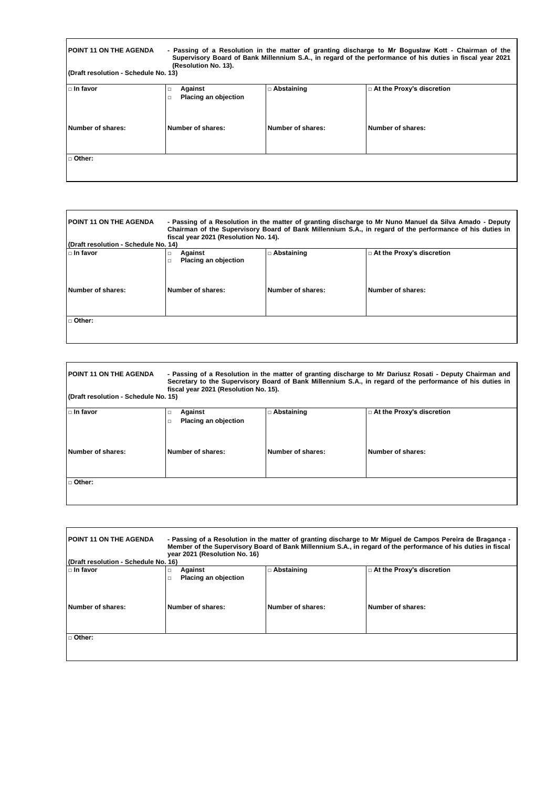| <b>POINT 11 ON THE AGENDA</b><br>- Passing of a Resolution in the matter of granting discharge to Mr Bogusław Kott - Chairman of the<br>Supervisory Board of Bank Millennium S.A., in regard of the performance of his duties in fiscal year 2021<br>(Resolution No. 13).<br>(Draft resolution - Schedule No. 13) |                           |                   |                             |  |
|-------------------------------------------------------------------------------------------------------------------------------------------------------------------------------------------------------------------------------------------------------------------------------------------------------------------|---------------------------|-------------------|-----------------------------|--|
| l □ In favor                                                                                                                                                                                                                                                                                                      | Against<br>$\Box$         | $\Box$ Abstaining | □ At the Proxy's discretion |  |
|                                                                                                                                                                                                                                                                                                                   | Placing an objection<br>□ |                   |                             |  |
|                                                                                                                                                                                                                                                                                                                   |                           |                   |                             |  |
| Number of shares:                                                                                                                                                                                                                                                                                                 | Number of shares:         | Number of shares: | Number of shares:           |  |
|                                                                                                                                                                                                                                                                                                                   |                           |                   |                             |  |
|                                                                                                                                                                                                                                                                                                                   |                           |                   |                             |  |
| $\sqcap$ Other:                                                                                                                                                                                                                                                                                                   |                           |                   |                             |  |
|                                                                                                                                                                                                                                                                                                                   |                           |                   |                             |  |

| <b>POINT 11 ON THE AGENDA</b><br>- Passing of a Resolution in the matter of granting discharge to Mr Nuno Manuel da Silva Amado - Deputy<br>Chairman of the Supervisory Board of Bank Millennium S.A., in regard of the performance of his duties in<br>fiscal year 2021 (Resolution No. 14).<br>(Draft resolution - Schedule No. 14) |                                        |                   |                             |  |
|---------------------------------------------------------------------------------------------------------------------------------------------------------------------------------------------------------------------------------------------------------------------------------------------------------------------------------------|----------------------------------------|-------------------|-----------------------------|--|
| l ⊓ In favor                                                                                                                                                                                                                                                                                                                          | Against<br><b>Placing an objection</b> | □ Abstaining      | □ At the Proxy's discretion |  |
| Number of shares:                                                                                                                                                                                                                                                                                                                     | Number of shares:                      | Number of shares: | Number of shares:           |  |
| $\Box$ Other:                                                                                                                                                                                                                                                                                                                         |                                        |                   |                             |  |

| POINT 11 ON THE AGENDA<br>(Draft resolution - Schedule No. 15) | - Passing of a Resolution in the matter of granting discharge to Mr Dariusz Rosati - Deputy Chairman and<br>Secretary to the Supervisory Board of Bank Millennium S.A., in regard of the performance of his duties in<br>fiscal year 2021 (Resolution No. 15). |                   |                             |  |  |
|----------------------------------------------------------------|----------------------------------------------------------------------------------------------------------------------------------------------------------------------------------------------------------------------------------------------------------------|-------------------|-----------------------------|--|--|
| $\ln$ In favor                                                 | Against<br>$\Box$<br>Placing an objection<br>$\Box$                                                                                                                                                                                                            | $\Box$ Abstaining | □ At the Proxy's discretion |  |  |
| Number of shares:                                              | Number of shares:                                                                                                                                                                                                                                              | Number of shares: | Number of shares:           |  |  |
| □ Other:                                                       |                                                                                                                                                                                                                                                                |                   |                             |  |  |

 $\overline{\phantom{0}}$ 

| <b>POINT 11 ON THE AGENDA</b><br>- Passing of a Resolution in the matter of granting discharge to Mr Miguel de Campos Pereira de Bragança -<br>Member of the Supervisory Board of Bank Millennium S.A., in regard of the performance of his duties in fiscal<br>year 2021 (Resolution No. 16)<br>(Draft resolution - Schedule No. 16) |                                                |                   |                             |  |
|---------------------------------------------------------------------------------------------------------------------------------------------------------------------------------------------------------------------------------------------------------------------------------------------------------------------------------------|------------------------------------------------|-------------------|-----------------------------|--|
| l □ In favor                                                                                                                                                                                                                                                                                                                          | Against<br>□<br>Placing an objection<br>$\Box$ | $\Box$ Abstaining | □ At the Proxy's discretion |  |
| Number of shares:                                                                                                                                                                                                                                                                                                                     | Number of shares:                              | Number of shares: | Number of shares:           |  |
| □ Other:                                                                                                                                                                                                                                                                                                                              |                                                |                   |                             |  |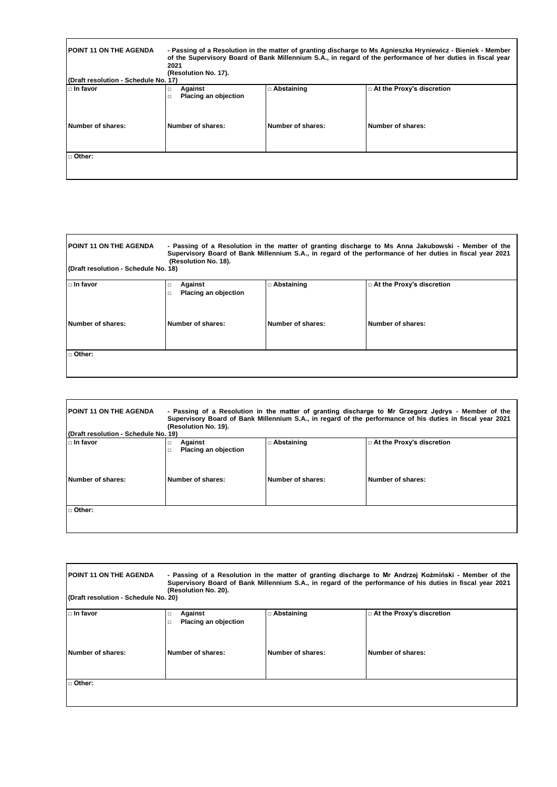| <b>POINT 11 ON THE AGENDA</b><br>(Draft resolution - Schedule No. 17) | - Passing of a Resolution in the matter of granting discharge to Ms Agnieszka Hryniewicz - Bieniek - Member<br>of the Supervisory Board of Bank Millennium S.A., in regard of the performance of her duties in fiscal year<br>2021<br>(Resolution No. 17). |                   |                                  |  |
|-----------------------------------------------------------------------|------------------------------------------------------------------------------------------------------------------------------------------------------------------------------------------------------------------------------------------------------------|-------------------|----------------------------------|--|
| l ⊓ In favor                                                          | Against<br>Placing an objection<br>◻                                                                                                                                                                                                                       | □ Abstaining      | $\Box$ At the Proxy's discretion |  |
| Number of shares:                                                     | Number of shares:                                                                                                                                                                                                                                          | Number of shares: | Number of shares:                |  |
| □ Other:                                                              |                                                                                                                                                                                                                                                            |                   |                                  |  |

| <b>POINT 11 ON THE AGENDA</b><br>- Passing of a Resolution in the matter of granting discharge to Ms Anna Jakubowski - Member of the<br>Supervisory Board of Bank Millennium S.A., in regard of the performance of her duties in fiscal year 2021<br>(Resolution No. 18).<br>(Draft resolution - Schedule No. 18) |                           |                   |                                  |  |
|-------------------------------------------------------------------------------------------------------------------------------------------------------------------------------------------------------------------------------------------------------------------------------------------------------------------|---------------------------|-------------------|----------------------------------|--|
| l ⊓ In favor                                                                                                                                                                                                                                                                                                      | Against<br>□              | $\Box$ Abstaining | $\Box$ At the Proxy's discretion |  |
|                                                                                                                                                                                                                                                                                                                   | Placing an objection<br>□ |                   |                                  |  |
|                                                                                                                                                                                                                                                                                                                   |                           |                   |                                  |  |
| Number of shares:                                                                                                                                                                                                                                                                                                 | Number of shares:         | Number of shares: | Number of shares:                |  |
|                                                                                                                                                                                                                                                                                                                   |                           |                   |                                  |  |
|                                                                                                                                                                                                                                                                                                                   |                           |                   |                                  |  |
| $\sqcap$ Other:                                                                                                                                                                                                                                                                                                   |                           |                   |                                  |  |
|                                                                                                                                                                                                                                                                                                                   |                           |                   |                                  |  |

| <b>POINT 11 ON THE AGENDA</b><br>- Passing of a Resolution in the matter of granting discharge to Mr Grzegorz Jedrys - Member of the<br>Supervisory Board of Bank Millennium S.A., in regard of the performance of his duties in fiscal year 2021<br>(Resolution No. 19).<br>(Draft resolution - Schedule No. 19) |                                                     |                   |                             |  |
|-------------------------------------------------------------------------------------------------------------------------------------------------------------------------------------------------------------------------------------------------------------------------------------------------------------------|-----------------------------------------------------|-------------------|-----------------------------|--|
| l ⊓ In favor                                                                                                                                                                                                                                                                                                      | Against<br>$\Box$<br>Placing an objection<br>$\Box$ | $\Box$ Abstaining | □ At the Proxy's discretion |  |
| Number of shares:                                                                                                                                                                                                                                                                                                 | Number of shares:                                   | Number of shares: | Number of shares:           |  |
| $\mathsf{In}$ Other:                                                                                                                                                                                                                                                                                              |                                                     |                   |                             |  |

| <b>POINT 11 ON THE AGENDA</b><br>- Passing of a Resolution in the matter of granting discharge to Mr Andrzej Koźmiński - Member of the<br>Supervisory Board of Bank Millennium S.A., in regard of the performance of his duties in fiscal year 2021<br>(Resolution No. 20).<br>(Draft resolution - Schedule No. 20) |                                |                   |                             |  |
|---------------------------------------------------------------------------------------------------------------------------------------------------------------------------------------------------------------------------------------------------------------------------------------------------------------------|--------------------------------|-------------------|-----------------------------|--|
| $\Box$ In favor                                                                                                                                                                                                                                                                                                     | Against<br>□                   | Abstaining        | □ At the Proxy's discretion |  |
|                                                                                                                                                                                                                                                                                                                     | Placing an objection<br>$\Box$ |                   |                             |  |
| Number of shares:                                                                                                                                                                                                                                                                                                   | Number of shares:              | Number of shares: | Number of shares:           |  |
|                                                                                                                                                                                                                                                                                                                     |                                |                   |                             |  |
| □ Other:                                                                                                                                                                                                                                                                                                            |                                |                   |                             |  |
|                                                                                                                                                                                                                                                                                                                     |                                |                   |                             |  |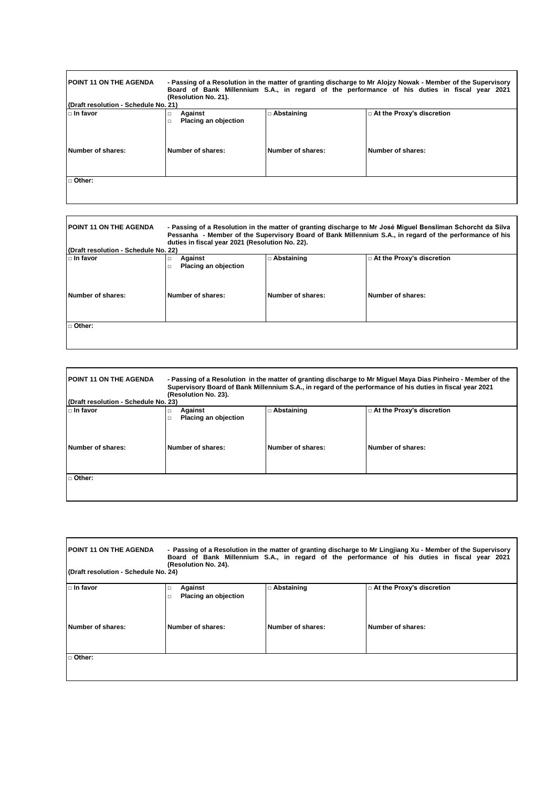| <b>POINT 11 ON THE AGENDA</b><br>- Passing of a Resolution in the matter of granting discharge to Mr Alojzy Nowak - Member of the Supervisory<br>Board of Bank Millennium S.A., in regard of the performance of his duties in fiscal year 2021<br>(Resolution No. 21). |                                                  |                      |                             |  |
|------------------------------------------------------------------------------------------------------------------------------------------------------------------------------------------------------------------------------------------------------------------------|--------------------------------------------------|----------------------|-----------------------------|--|
| (Draft resolution - Schedule No. 21)                                                                                                                                                                                                                                   |                                                  |                      |                             |  |
| $\Box$ In favor                                                                                                                                                                                                                                                        | Against<br>$\Box$<br><b>Placing an objection</b> | $\square$ Abstaining | □ At the Proxy's discretion |  |
| Number of shares:                                                                                                                                                                                                                                                      | Number of shares:                                | Number of shares:    | Number of shares:           |  |
|                                                                                                                                                                                                                                                                        |                                                  |                      |                             |  |
| □ Other:                                                                                                                                                                                                                                                               |                                                  |                      |                             |  |
|                                                                                                                                                                                                                                                                        |                                                  |                      |                             |  |
|                                                                                                                                                                                                                                                                        |                                                  |                      |                             |  |
|                                                                                                                                                                                                                                                                        |                                                  |                      |                             |  |

| <b>POINT 11 ON THE AGENDA</b><br>- Passing of a Resolution in the matter of granting discharge to Mr José Miguel Bensliman Schorcht da Silva<br>Pessanha - Member of the Supervisory Board of Bank Millennium S.A., in regard of the performance of his<br>duties in fiscal year 2021 (Resolution No. 22).<br>l (Draft resolution - Schedule No. 22) |                      |                   |                             |  |
|------------------------------------------------------------------------------------------------------------------------------------------------------------------------------------------------------------------------------------------------------------------------------------------------------------------------------------------------------|----------------------|-------------------|-----------------------------|--|
| $\ln$ In favor                                                                                                                                                                                                                                                                                                                                       | Against              | □ Abstaining      | □ At the Proxy's discretion |  |
|                                                                                                                                                                                                                                                                                                                                                      | Placing an objection |                   |                             |  |
| Number of shares:                                                                                                                                                                                                                                                                                                                                    | Number of shares:    | Number of shares: | Number of shares:           |  |
|                                                                                                                                                                                                                                                                                                                                                      |                      |                   |                             |  |
| $\Box$ Other:                                                                                                                                                                                                                                                                                                                                        |                      |                   |                             |  |
|                                                                                                                                                                                                                                                                                                                                                      |                      |                   |                             |  |
|                                                                                                                                                                                                                                                                                                                                                      |                      |                   |                             |  |
|                                                                                                                                                                                                                                                                                                                                                      |                      |                   |                             |  |

| <b>POINT 11 ON THE AGENDA</b><br>(Draft resolution - Schedule No. 23) | (Resolution No. 23).                                |                   | - Passing of a Resolution in the matter of granting discharge to Mr Miguel Maya Dias Pinheiro - Member of the<br>Supervisory Board of Bank Millennium S.A., in regard of the performance of his duties in fiscal year 2021 |
|-----------------------------------------------------------------------|-----------------------------------------------------|-------------------|----------------------------------------------------------------------------------------------------------------------------------------------------------------------------------------------------------------------------|
| l ⊓ In favor                                                          | Against<br>$\Box$<br>Placing an objection<br>$\Box$ | Abstaining        | □ At the Proxy's discretion                                                                                                                                                                                                |
| Number of shares:                                                     | Number of shares:                                   | Number of shares: | Number of shares:                                                                                                                                                                                                          |
| □ Other:                                                              |                                                     |                   |                                                                                                                                                                                                                            |

| POINT 11 ON THE AGENDA<br>- Passing of a Resolution in the matter of granting discharge to Mr Lingjiang Xu - Member of the Supervisory<br>Board of Bank Millennium S.A., in regard of the performance of his duties in fiscal year 2021<br>(Resolution No. 24).<br>(Draft resolution - Schedule No. 24) |                                                     |                   |                             |
|---------------------------------------------------------------------------------------------------------------------------------------------------------------------------------------------------------------------------------------------------------------------------------------------------------|-----------------------------------------------------|-------------------|-----------------------------|
| $\Box$ In favor                                                                                                                                                                                                                                                                                         | Against<br>$\Box$<br>Placing an objection<br>$\Box$ | □ Abstaining      | □ At the Proxy's discretion |
| Number of shares:                                                                                                                                                                                                                                                                                       | Number of shares:                                   | Number of shares: | Number of shares:           |
| $\Box$ Other:                                                                                                                                                                                                                                                                                           |                                                     |                   |                             |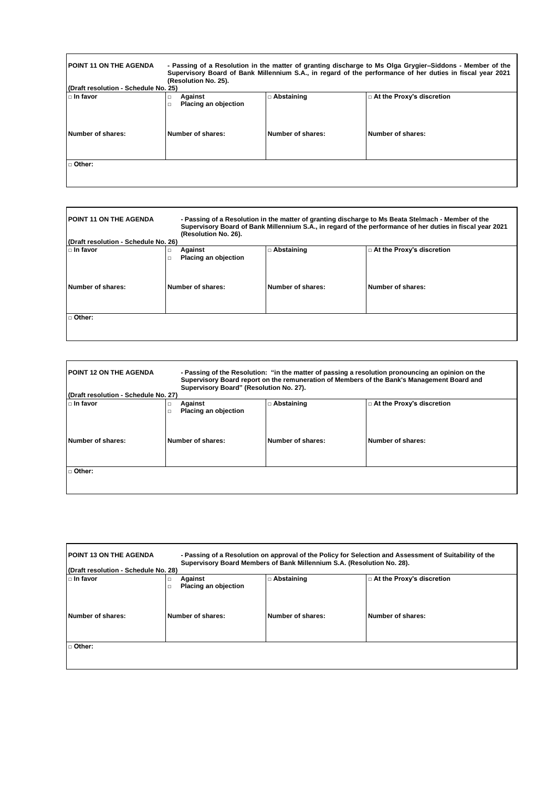| <b>POINT 11 ON THE AGENDA</b><br>- Passing of a Resolution in the matter of granting discharge to Ms Olga Grygier–Siddons - Member of the<br>Supervisory Board of Bank Millennium S.A., in regard of the performance of her duties in fiscal year 2021<br>(Resolution No. 25).<br>(Draft resolution - Schedule No. 25) |                                                     |                   |                             |
|------------------------------------------------------------------------------------------------------------------------------------------------------------------------------------------------------------------------------------------------------------------------------------------------------------------------|-----------------------------------------------------|-------------------|-----------------------------|
| l ⊓ In favor                                                                                                                                                                                                                                                                                                           | Against<br>$\Box$<br>Placing an objection<br>$\Box$ | $\Box$ Abstaining | □ At the Proxy's discretion |
| Number of shares:                                                                                                                                                                                                                                                                                                      | Number of shares:                                   | Number of shares: | Number of shares:           |
| □ Other:                                                                                                                                                                                                                                                                                                               |                                                     |                   |                             |

| <b>POINT 11 ON THE AGENDA</b><br>(Draft resolution - Schedule No. 26) | (Resolution No. 26).                 |                   | - Passing of a Resolution in the matter of granting discharge to Ms Beata Stelmach - Member of the<br>Supervisory Board of Bank Millennium S.A., in regard of the performance of her duties in fiscal year 2021 |
|-----------------------------------------------------------------------|--------------------------------------|-------------------|-----------------------------------------------------------------------------------------------------------------------------------------------------------------------------------------------------------------|
| $\Box$ In favor                                                       | Against<br>□<br>Placing an objection | □ Abstaining      | $\Box$ At the Proxy's discretion                                                                                                                                                                                |
| Number of shares:                                                     | Number of shares:                    | Number of shares: | Number of shares:                                                                                                                                                                                               |
| □ Other:                                                              |                                      |                   |                                                                                                                                                                                                                 |

| <b>POINT 12 ON THE AGENDA</b><br>- Passing of the Resolution: "in the matter of passing a resolution pronouncing an opinion on the<br>Supervisory Board report on the remuneration of Members of the Bank's Management Board and<br>Supervisory Board" (Resolution No. 27).<br>(Draft resolution - Schedule No. 27) |                                        |                   |                             |
|---------------------------------------------------------------------------------------------------------------------------------------------------------------------------------------------------------------------------------------------------------------------------------------------------------------------|----------------------------------------|-------------------|-----------------------------|
| l ⊓ In favor                                                                                                                                                                                                                                                                                                        | Against<br><b>Placing an objection</b> | □ Abstaining      | □ At the Proxy's discretion |
| Number of shares:                                                                                                                                                                                                                                                                                                   | Number of shares:                      | Number of shares: | Number of shares:           |
| $\sqcap$ Other:                                                                                                                                                                                                                                                                                                     |                                        |                   |                             |

 $\Gamma$ 

| <b>POINT 13 ON THE AGENDA</b><br>- Passing of a Resolution on approval of the Policy for Selection and Assessment of Suitability of the<br>Supervisory Board Members of Bank Millennium S.A. (Resolution No. 28).<br>(Draft resolution - Schedule No. 28) |                                 |                   |                                  |
|-----------------------------------------------------------------------------------------------------------------------------------------------------------------------------------------------------------------------------------------------------------|---------------------------------|-------------------|----------------------------------|
| l □ In favor                                                                                                                                                                                                                                              | Against<br>Placing an objection | □ Abstaining      | $\Box$ At the Proxy's discretion |
| Number of shares:                                                                                                                                                                                                                                         | Number of shares:               | Number of shares: | Number of shares:                |
| □ Other:                                                                                                                                                                                                                                                  |                                 |                   |                                  |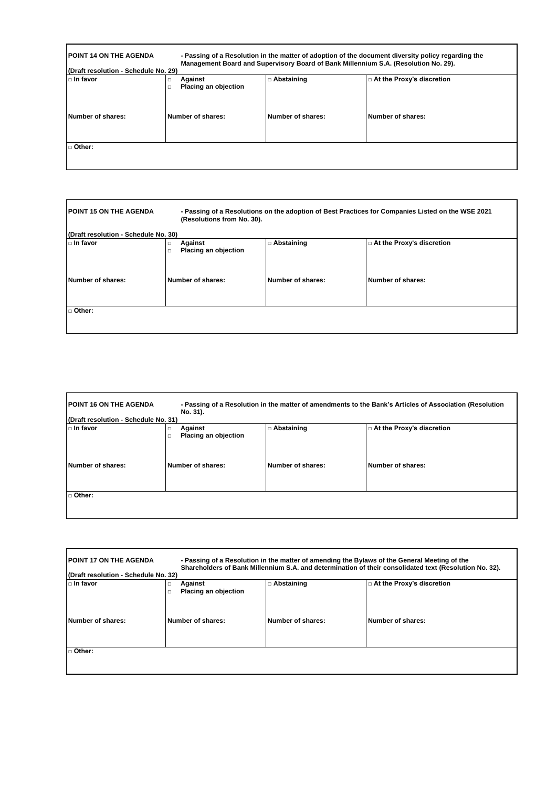| <b>POINT 14 ON THE AGENDA</b><br>- Passing of a Resolution in the matter of adoption of the document diversity policy regarding the<br>Management Board and Supervisory Board of Bank Millennium S.A. (Resolution No. 29).<br>(Draft resolution - Schedule No. 29) |                                                     |                   |                                  |  |
|--------------------------------------------------------------------------------------------------------------------------------------------------------------------------------------------------------------------------------------------------------------------|-----------------------------------------------------|-------------------|----------------------------------|--|
| $\Box$ In favor                                                                                                                                                                                                                                                    | Against<br>$\Box$<br>Placing an objection<br>$\Box$ | □ Abstaining      | $\Box$ At the Proxy's discretion |  |
| Number of shares:                                                                                                                                                                                                                                                  | Number of shares:                                   | Number of shares: | Number of shares:                |  |
| □ Other:                                                                                                                                                                                                                                                           |                                                     |                   |                                  |  |

| <b>POINT 15 ON THE AGENDA</b>        | (Resolutions from No. 30).                          | - Passing of a Resolutions on the adoption of Best Practices for Companies Listed on the WSE 2021 |                           |  |
|--------------------------------------|-----------------------------------------------------|---------------------------------------------------------------------------------------------------|---------------------------|--|
| (Draft resolution - Schedule No. 30) |                                                     |                                                                                                   |                           |  |
| l □ In favor                         | Against<br>$\Box$<br>Placing an objection<br>$\Box$ | $\square$ Abstaining                                                                              | At the Proxy's discretion |  |
| Number of shares:                    | Number of shares:                                   | Number of shares:                                                                                 | Number of shares:         |  |
| □ Other:                             |                                                     |                                                                                                   |                           |  |

| <b>POINT 16 ON THE AGENDA</b><br>(Draft resolution - Schedule No. 31) | No. 31).                                            |                   | - Passing of a Resolution in the matter of amendments to the Bank's Articles of Association (Resolution |
|-----------------------------------------------------------------------|-----------------------------------------------------|-------------------|---------------------------------------------------------------------------------------------------------|
| l □ In favor                                                          | Against<br>$\Box$<br>Placing an objection<br>$\Box$ | Abstaining        | □ At the Proxy's discretion                                                                             |
| Number of shares:                                                     | Number of shares:                                   | Number of shares: | Number of shares:                                                                                       |
| □ Other:                                                              |                                                     |                   |                                                                                                         |

| <b>POINT 17 ON THE AGENDA</b><br>(Draft resolution - Schedule No. 32) |                                                |                   | - Passing of a Resolution in the matter of amending the Bylaws of the General Meeting of the<br>Shareholders of Bank Millennium S.A. and determination of their consolidated text (Resolution No. 32). |
|-----------------------------------------------------------------------|------------------------------------------------|-------------------|--------------------------------------------------------------------------------------------------------------------------------------------------------------------------------------------------------|
| $\Box$ In favor                                                       | Against<br>□<br>Placing an objection<br>$\Box$ | Abstaining        | □ At the Proxy's discretion                                                                                                                                                                            |
| Number of shares:                                                     | Number of shares:                              | Number of shares: | Number of shares:                                                                                                                                                                                      |
| □ Other:                                                              |                                                |                   |                                                                                                                                                                                                        |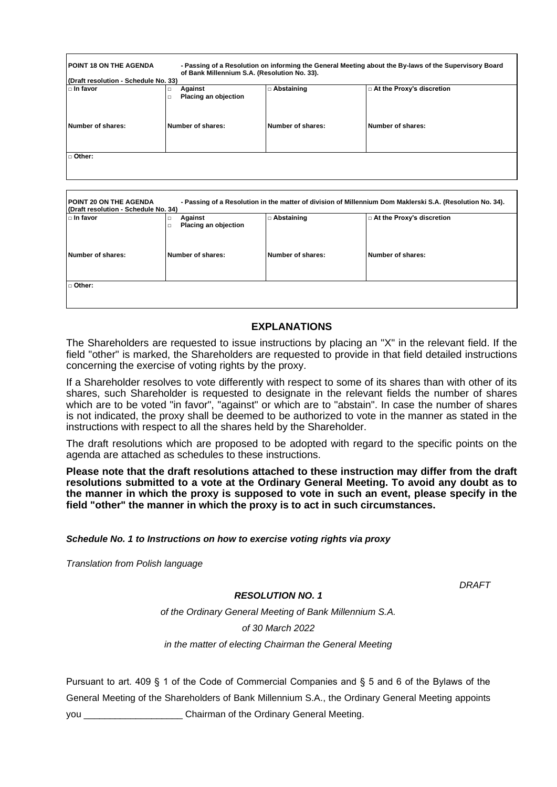| <b>POINT 18 ON THE AGENDA</b><br>(Draft resolution - Schedule No. 33) | of Bank Millennium S.A. (Resolution No. 33). |                   | - Passing of a Resolution on informing the General Meeting about the By-laws of the Supervisory Board |
|-----------------------------------------------------------------------|----------------------------------------------|-------------------|-------------------------------------------------------------------------------------------------------|
| $\sqcap$ In favor                                                     | Against<br>$\Box$<br>Placing an objection    | □ Abstaining      | □ At the Proxy's discretion                                                                           |
| Number of shares:                                                     | Number of shares:                            | Number of shares: | Number of shares:                                                                                     |
| □ Other:                                                              |                                              |                   |                                                                                                       |

| <b>POINT 20 ON THE AGENDA</b><br>- Passing of a Resolution in the matter of division of Millennium Dom Maklerski S.A. (Resolution No. 34).<br>(Draft resolution - Schedule No. 34) |                                           |                   |                             |  |
|------------------------------------------------------------------------------------------------------------------------------------------------------------------------------------|-------------------------------------------|-------------------|-----------------------------|--|
| l ⊓ In favor                                                                                                                                                                       | Against<br>$\Box$<br>Placing an objection | $\Box$ Abstaining | □ At the Proxy's discretion |  |
| Number of shares:                                                                                                                                                                  | Number of shares:                         | Number of shares: | Number of shares:           |  |
| □ Other:                                                                                                                                                                           |                                           |                   |                             |  |

# **EXPLANATIONS**

The Shareholders are requested to issue instructions by placing an "X" in the relevant field. If the field "other" is marked, the Shareholders are requested to provide in that field detailed instructions concerning the exercise of voting rights by the proxy.

If a Shareholder resolves to vote differently with respect to some of its shares than with other of its shares, such Shareholder is requested to designate in the relevant fields the number of shares which are to be voted "in favor", "against" or which are to "abstain". In case the number of shares is not indicated, the proxy shall be deemed to be authorized to vote in the manner as stated in the instructions with respect to all the shares held by the Shareholder.

The draft resolutions which are proposed to be adopted with regard to the specific points on the agenda are attached as schedules to these instructions.

**Please note that the draft resolutions attached to these instruction may differ from the draft resolutions submitted to a vote at the Ordinary General Meeting. To avoid any doubt as to the manner in which the proxy is supposed to vote in such an event, please specify in the field "other" the manner in which the proxy is to act in such circumstances.**

*Schedule No. 1 to Instructions on how to exercise voting rights via proxy*

*Translation from Polish language*

*DRAFT*

# *RESOLUTION NO. 1*

*of the Ordinary General Meeting of Bank Millennium S.A.*

*of 30 March 2022* 

*in the matter of electing Chairman the General Meeting*

Pursuant to art. 409 § 1 of the Code of Commercial Companies and § 5 and 6 of the Bylaws of the General Meeting of the Shareholders of Bank Millennium S.A., the Ordinary General Meeting appoints you \_\_\_\_\_\_\_\_\_\_\_\_\_\_\_\_\_\_\_ Chairman of the Ordinary General Meeting.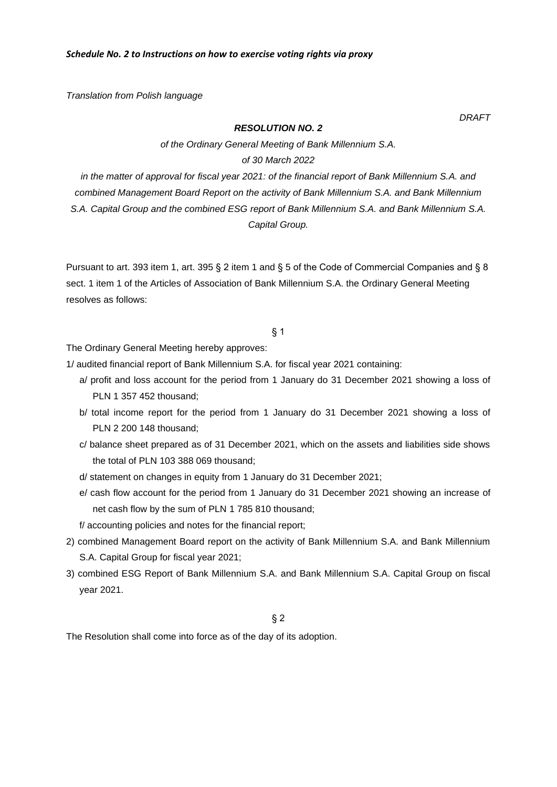*RESOLUTION NO. 2*

*of the Ordinary General Meeting of Bank Millennium S.A.*

*of 30 March 2022*

*in the matter of approval for fiscal year 2021: of the financial report of Bank Millennium S.A. and combined Management Board Report on the activity of Bank Millennium S.A. and Bank Millennium S.A. Capital Group and the combined ESG report of Bank Millennium S.A. and Bank Millennium S.A. Capital Group.*

Pursuant to art. 393 item 1, art. 395 § 2 item 1 and § 5 of the Code of Commercial Companies and § 8 sect. 1 item 1 of the Articles of Association of Bank Millennium S.A. the Ordinary General Meeting resolves as follows:

§ 1

The Ordinary General Meeting hereby approves:

1/ audited financial report of Bank Millennium S.A. for fiscal year 2021 containing:

- a/ profit and loss account for the period from 1 January do 31 December 2021 showing a loss of PLN 1 357 452 thousand;
- b/ total income report for the period from 1 January do 31 December 2021 showing a loss of PLN 2 200 148 thousand;
- c/ balance sheet prepared as of 31 December 2021, which on the assets and liabilities side shows the total of PLN 103 388 069 thousand;
- d/ statement on changes in equity from 1 January do 31 December 2021;
- e/ cash flow account for the period from 1 January do 31 December 2021 showing an increase of net cash flow by the sum of PLN 1 785 810 thousand;

f/ accounting policies and notes for the financial report;

- 2) combined Management Board report on the activity of Bank Millennium S.A. and Bank Millennium S.A. Capital Group for fiscal year 2021;
- 3) combined ESG Report of Bank Millennium S.A. and Bank Millennium S.A. Capital Group on fiscal year 2021.

§ 2

The Resolution shall come into force as of the day of its adoption.

*DRAFT*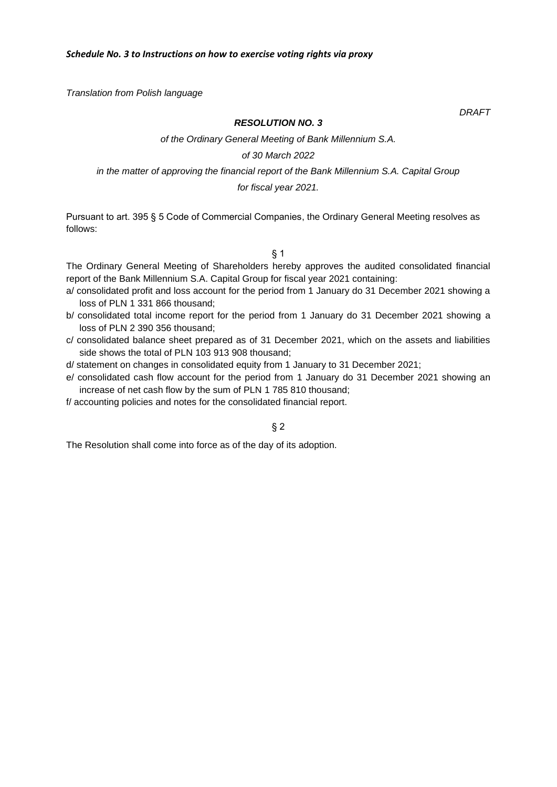*DRAFT*

### *RESOLUTION NO. 3*

*of the Ordinary General Meeting of Bank Millennium S.A.* 

#### *of 30 March 2022*

*in the matter of approving the financial report of the Bank Millennium S.A. Capital Group* 

# *for fiscal year 2021.*

Pursuant to art. 395 § 5 Code of Commercial Companies, the Ordinary General Meeting resolves as follows:

 $§$  1

The Ordinary General Meeting of Shareholders hereby approves the audited consolidated financial report of the Bank Millennium S.A. Capital Group for fiscal year 2021 containing:

- a/ consolidated profit and loss account for the period from 1 January do 31 December 2021 showing a loss of PLN 1 331 866 thousand;
- b/ consolidated total income report for the period from 1 January do 31 December 2021 showing a loss of PLN 2 390 356 thousand;
- c/ consolidated balance sheet prepared as of 31 December 2021, which on the assets and liabilities side shows the total of PLN 103 913 908 thousand;
- d/ statement on changes in consolidated equity from 1 January to 31 December 2021;
- e/ consolidated cash flow account for the period from 1 January do 31 December 2021 showing an increase of net cash flow by the sum of PLN 1 785 810 thousand;

f/ accounting policies and notes for the consolidated financial report.

§ 2

The Resolution shall come into force as of the day of its adoption.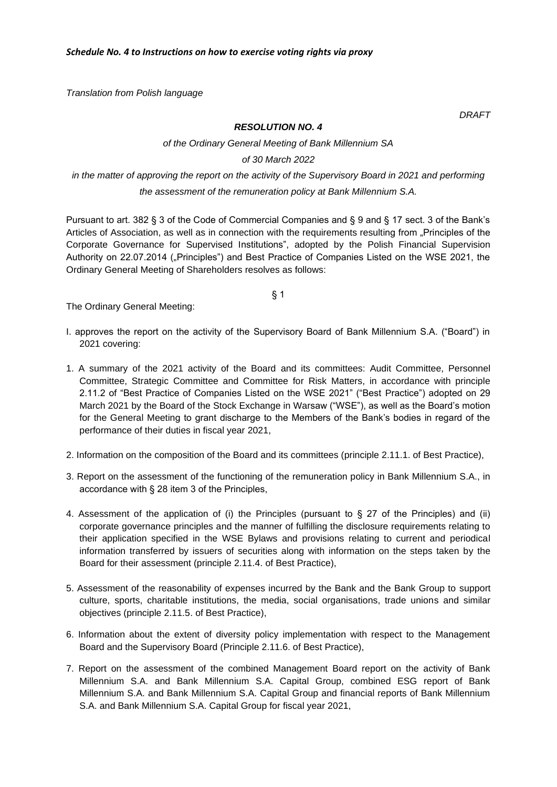*DRAFT*

## *RESOLUTION NO. 4*

## *of the Ordinary General Meeting of Bank Millennium SA*

*of 30 March 2022* 

*in the matter of approving the report on the activity of the Supervisory Board in 2021 and performing the assessment of the remuneration policy at Bank Millennium S.A.*

Pursuant to art. 382 § 3 of the Code of Commercial Companies and § 9 and § 17 sect. 3 of the Bank's Articles of Association, as well as in connection with the requirements resulting from "Principles of the Corporate Governance for Supervised Institutions", adopted by the Polish Financial Supervision Authority on 22.07.2014 ("Principles") and Best Practice of Companies Listed on the WSE 2021, the Ordinary General Meeting of Shareholders resolves as follows:

The Ordinary General Meeting:

- I. approves the report on the activity of the Supervisory Board of Bank Millennium S.A. ("Board") in 2021 covering:
- 1. A summary of the 2021 activity of the Board and its committees: Audit Committee, Personnel Committee, Strategic Committee and Committee for Risk Matters, in accordance with principle 2.11.2 of "Best Practice of Companies Listed on the WSE 2021" ("Best Practice") adopted on 29 March 2021 by the Board of the Stock Exchange in Warsaw ("WSE"), as well as the Board's motion for the General Meeting to grant discharge to the Members of the Bank's bodies in regard of the performance of their duties in fiscal year 2021,
- 2. Information on the composition of the Board and its committees (principle 2.11.1. of Best Practice),
- 3. Report on the assessment of the functioning of the remuneration policy in Bank Millennium S.A., in accordance with § 28 item 3 of the Principles,
- 4. Assessment of the application of (i) the Principles (pursuant to § 27 of the Principles) and (ii) corporate governance principles and the manner of fulfilling the disclosure requirements relating to their application specified in the WSE Bylaws and provisions relating to current and periodical information transferred by issuers of securities along with information on the steps taken by the Board for their assessment (principle 2.11.4. of Best Practice),
- 5. Assessment of the reasonability of expenses incurred by the Bank and the Bank Group to support culture, sports, charitable institutions, the media, social organisations, trade unions and similar objectives (principle 2.11.5. of Best Practice),
- 6. Information about the extent of diversity policy implementation with respect to the Management Board and the Supervisory Board (Principle 2.11.6. of Best Practice),
- 7. Report on the assessment of the combined Management Board report on the activity of Bank Millennium S.A. and Bank Millennium S.A. Capital Group, combined ESG report of Bank Millennium S.A. and Bank Millennium S.A. Capital Group and financial reports of Bank Millennium S.A. and Bank Millennium S.A. Capital Group for fiscal year 2021,

§ 1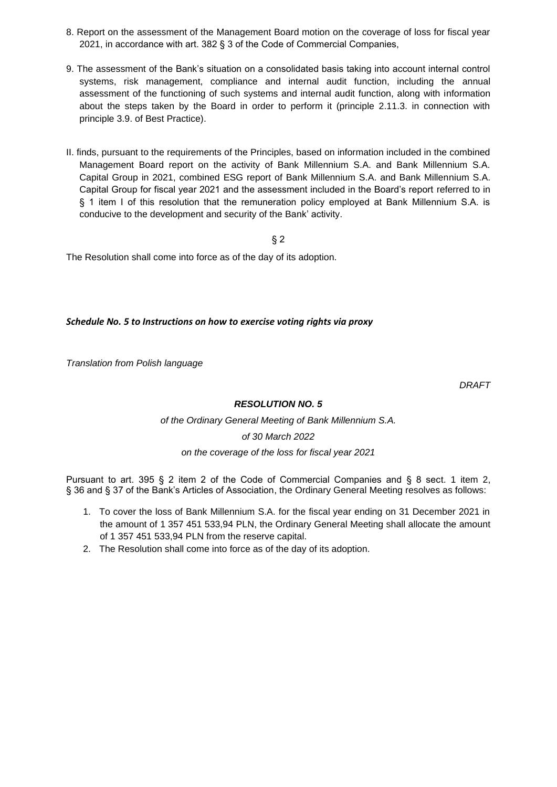- 8. Report on the assessment of the Management Board motion on the coverage of loss for fiscal year 2021, in accordance with art. 382 § 3 of the Code of Commercial Companies,
- 9. The assessment of the Bank's situation on a consolidated basis taking into account internal control systems, risk management, compliance and internal audit function, including the annual assessment of the functioning of such systems and internal audit function, along with information about the steps taken by the Board in order to perform it (principle 2.11.3. in connection with principle 3.9. of Best Practice).
- II. finds, pursuant to the requirements of the Principles, based on information included in the combined Management Board report on the activity of Bank Millennium S.A. and Bank Millennium S.A. Capital Group in 2021, combined ESG report of Bank Millennium S.A. and Bank Millennium S.A. Capital Group for fiscal year 2021 and the assessment included in the Board's report referred to in § 1 item I of this resolution that the remuneration policy employed at Bank Millennium S.A. is conducive to the development and security of the Bank' activity.

§ 2

The Resolution shall come into force as of the day of its adoption.

# *Schedule No. 5 to Instructions on how to exercise voting rights via proxy*

*Translation from Polish language*

*DRAFT*

# *RESOLUTION NO. 5*

*of the Ordinary General Meeting of Bank Millennium S.A.* 

*of 30 March 2022*

*on the coverage of the loss for fiscal year 2021*

Pursuant to art. 395 § 2 item 2 of the Code of Commercial Companies and § 8 sect. 1 item 2, § 36 and § 37 of the Bank's Articles of Association, the Ordinary General Meeting resolves as follows:

- 1. To cover the loss of Bank Millennium S.A. for the fiscal year ending on 31 December 2021 in the amount of 1 357 451 533,94 PLN, the Ordinary General Meeting shall allocate the amount of 1 357 451 533,94 PLN from the reserve capital.
- 2. The Resolution shall come into force as of the day of its adoption.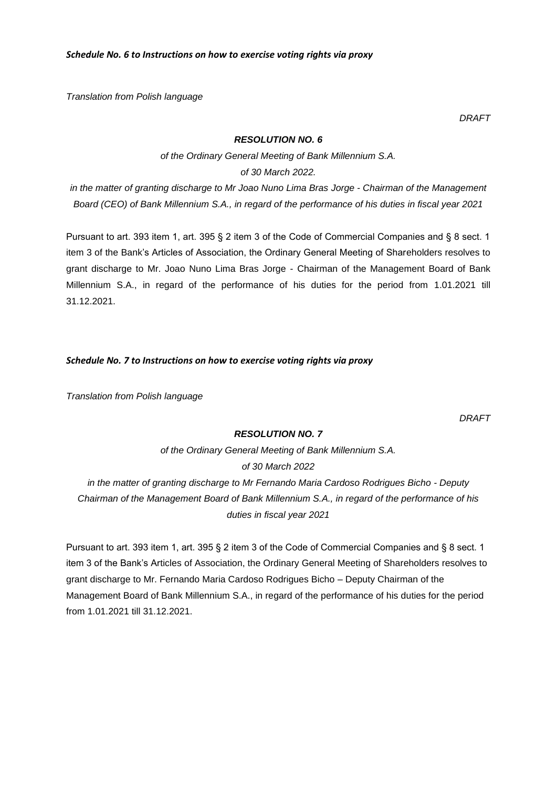*DRAFT*

# *RESOLUTION NO. 6*

*of the Ordinary General Meeting of Bank Millennium S.A. of 30 March 2022.* 

*in the matter of granting discharge to Mr Joao Nuno Lima Bras Jorge - Chairman of the Management Board (CEO) of Bank Millennium S.A., in regard of the performance of his duties in fiscal year 2021*

Pursuant to art. 393 item 1, art. 395 § 2 item 3 of the Code of Commercial Companies and § 8 sect. 1 item 3 of the Bank's Articles of Association, the Ordinary General Meeting of Shareholders resolves to grant discharge to Mr. Joao Nuno Lima Bras Jorge - Chairman of the Management Board of Bank Millennium S.A., in regard of the performance of his duties for the period from 1.01.2021 till 31.12.2021.

## *Schedule No. 7 to Instructions on how to exercise voting rights via proxy*

*Translation from Polish language*

*DRAFT*

#### *RESOLUTION NO. 7*

*of the Ordinary General Meeting of Bank Millennium S.A. of 30 March 2022*

*in the matter of granting discharge to Mr Fernando Maria Cardoso Rodrigues Bicho - Deputy Chairman of the Management Board of Bank Millennium S.A., in regard of the performance of his duties in fiscal year 2021*

Pursuant to art. 393 item 1, art. 395 § 2 item 3 of the Code of Commercial Companies and § 8 sect. 1 item 3 of the Bank's Articles of Association, the Ordinary General Meeting of Shareholders resolves to grant discharge to Mr. Fernando Maria Cardoso Rodrigues Bicho – Deputy Chairman of the Management Board of Bank Millennium S.A., in regard of the performance of his duties for the period from 1.01.2021 till 31.12.2021.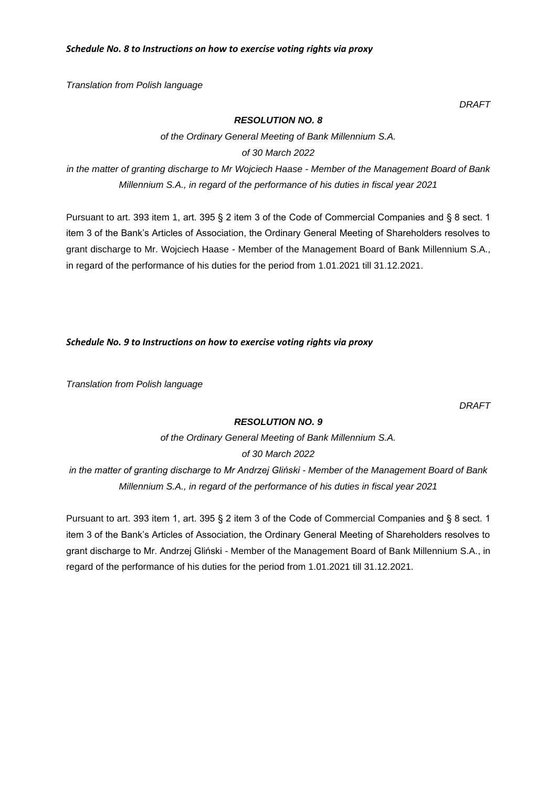*DRAFT*

## *RESOLUTION NO. 8*

*of the Ordinary General Meeting of Bank Millennium S.A.*

*of 30 March 2022*

*in the matter of granting discharge to Mr Wojciech Haase - Member of the Management Board of Bank Millennium S.A., in regard of the performance of his duties in fiscal year 2021*

Pursuant to art. 393 item 1, art. 395 § 2 item 3 of the Code of Commercial Companies and § 8 sect. 1 item 3 of the Bank's Articles of Association, the Ordinary General Meeting of Shareholders resolves to grant discharge to Mr. Wojciech Haase - Member of the Management Board of Bank Millennium S.A., in regard of the performance of his duties for the period from 1.01.2021 till 31.12.2021.

*Schedule No. 9 to Instructions on how to exercise voting rights via proxy*

*Translation from Polish language*

*DRAFT*

### *RESOLUTION NO. 9*

*of the Ordinary General Meeting of Bank Millennium S.A. of 30 March 2022*

*in the matter of granting discharge to Mr Andrzej Gliński - Member of the Management Board of Bank Millennium S.A., in regard of the performance of his duties in fiscal year 2021*

Pursuant to art. 393 item 1, art. 395 § 2 item 3 of the Code of Commercial Companies and § 8 sect. 1 item 3 of the Bank's Articles of Association, the Ordinary General Meeting of Shareholders resolves to grant discharge to Mr. Andrzej Gliński - Member of the Management Board of Bank Millennium S.A., in regard of the performance of his duties for the period from 1.01.2021 till 31.12.2021.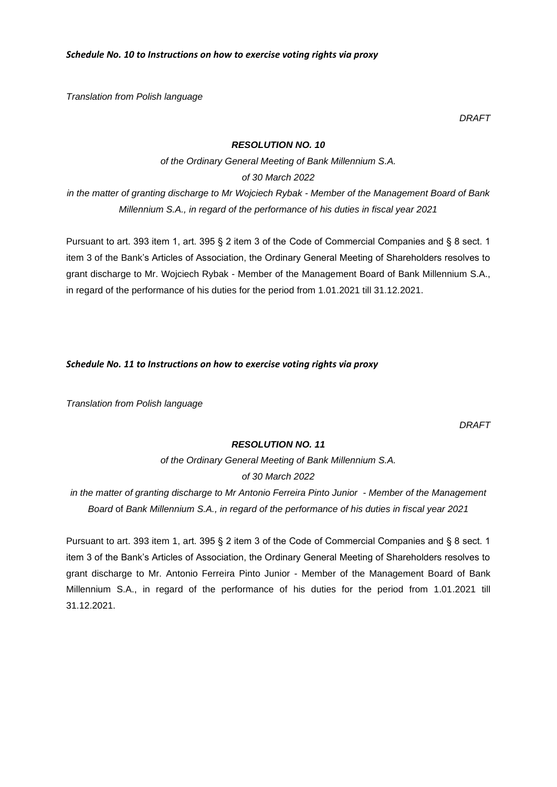*DRAFT*

## *RESOLUTION NO. 10*

*of the Ordinary General Meeting of Bank Millennium S.A.*

*of 30 March 2022*

*in the matter of granting discharge to Mr Wojciech Rybak - Member of the Management Board of Bank Millennium S.A., in regard of the performance of his duties in fiscal year 2021*

Pursuant to art. 393 item 1, art. 395 § 2 item 3 of the Code of Commercial Companies and § 8 sect. 1 item 3 of the Bank's Articles of Association, the Ordinary General Meeting of Shareholders resolves to grant discharge to Mr. Wojciech Rybak - Member of the Management Board of Bank Millennium S.A., in regard of the performance of his duties for the period from 1.01.2021 till 31.12.2021.

## *Schedule No. 11 to Instructions on how to exercise voting rights via proxy*

*Translation from Polish language*

*DRAFT*

#### *RESOLUTION NO. 11*

*of the Ordinary General Meeting of Bank Millennium S.A. of 30 March 2022*

*in the matter of granting discharge to Mr Antonio Ferreira Pinto Junior - Member of the Management Board* of *Bank Millennium S.A., in regard of the performance of his duties in fiscal year 2021*

Pursuant to art. 393 item 1, art. 395 § 2 item 3 of the Code of Commercial Companies and § 8 sect. 1 item 3 of the Bank's Articles of Association, the Ordinary General Meeting of Shareholders resolves to grant discharge to Mr. Antonio Ferreira Pinto Junior - Member of the Management Board of Bank Millennium S.A., in regard of the performance of his duties for the period from 1.01.2021 till 31.12.2021.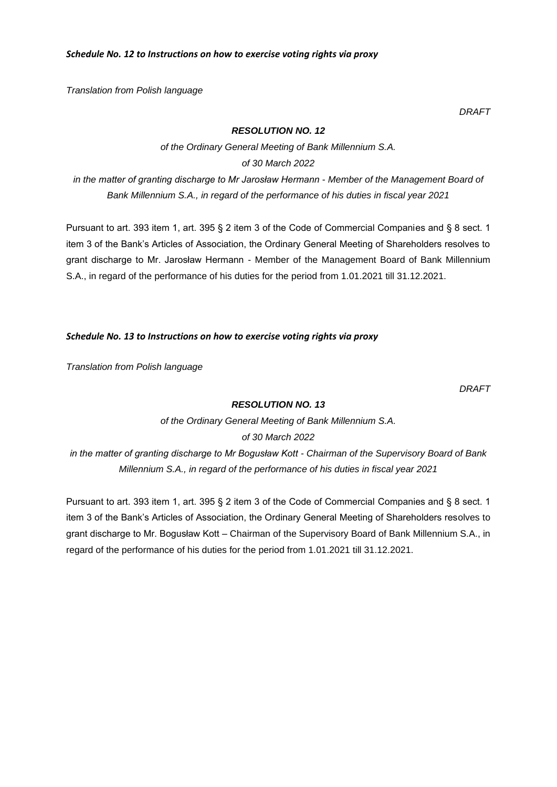*DRAFT*

## *RESOLUTION NO. 12*

# *of the Ordinary General Meeting of Bank Millennium S.A. of 30 March 2022*

*in the matter of granting discharge to Mr Jarosław Hermann* - *Member of the Management Board of Bank Millennium S.A., in regard of the performance of his duties in fiscal year 2021*

Pursuant to art. 393 item 1, art. 395 § 2 item 3 of the Code of Commercial Companies and § 8 sect. 1 item 3 of the Bank's Articles of Association, the Ordinary General Meeting of Shareholders resolves to grant discharge to Mr. Jarosław Hermann - Member of the Management Board of Bank Millennium S.A., in regard of the performance of his duties for the period from 1.01.2021 till 31.12.2021.

## *Schedule No. 13 to Instructions on how to exercise voting rights via proxy*

*Translation from Polish language*

*DRAFT*

# *RESOLUTION NO. 13*

*of the Ordinary General Meeting of Bank Millennium S.A. of 30 March 2022*

*in the matter of granting discharge to Mr Bogusław Kott - Chairman of the Supervisory Board of Bank Millennium S.A., in regard of the performance of his duties in fiscal year 2021*

Pursuant to art. 393 item 1, art. 395 § 2 item 3 of the Code of Commercial Companies and § 8 sect. 1 item 3 of the Bank's Articles of Association, the Ordinary General Meeting of Shareholders resolves to grant discharge to Mr. Bogusław Kott – Chairman of the Supervisory Board of Bank Millennium S.A., in regard of the performance of his duties for the period from 1.01.2021 till 31.12.2021.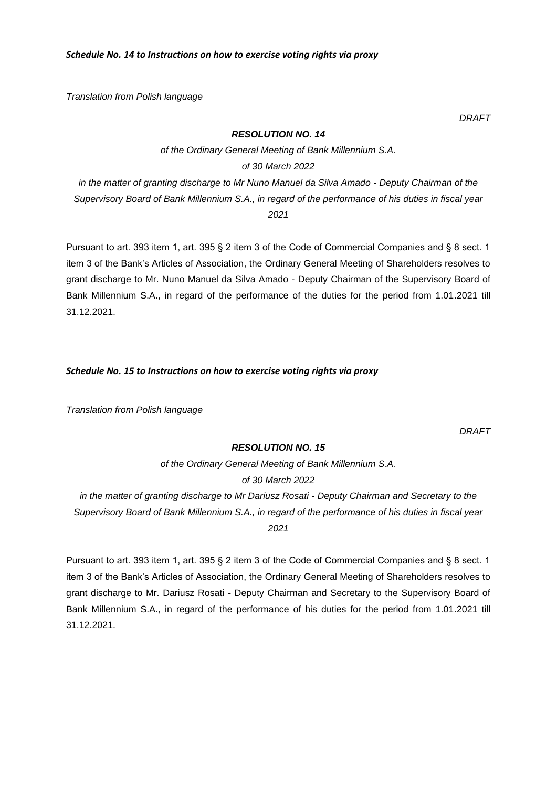*DRAFT*

#### *RESOLUTION NO. 14*

*of the Ordinary General Meeting of Bank Millennium S.A. of 30 March 2022 in the matter of granting discharge to Mr Nuno Manuel da Silva Amado - Deputy Chairman of the Supervisory Board of Bank Millennium S.A., in regard of the performance of his duties in fiscal year 2021*

Pursuant to art. 393 item 1, art. 395 § 2 item 3 of the Code of Commercial Companies and § 8 sect. 1 item 3 of the Bank's Articles of Association, the Ordinary General Meeting of Shareholders resolves to grant discharge to Mr. Nuno Manuel da Silva Amado - Deputy Chairman of the Supervisory Board of Bank Millennium S.A., in regard of the performance of the duties for the period from 1.01.2021 till 31.12.2021.

### *Schedule No. 15 to Instructions on how to exercise voting rights via proxy*

*Translation from Polish language*

*DRAFT*

#### *RESOLUTION NO. 15*

*of the Ordinary General Meeting of Bank Millennium S.A. of 30 March 2022*

*in the matter of granting discharge to Mr Dariusz Rosati - Deputy Chairman and Secretary to the Supervisory Board of Bank Millennium S.A., in regard of the performance of his duties in fiscal year 2021*

Pursuant to art. 393 item 1, art. 395 § 2 item 3 of the Code of Commercial Companies and § 8 sect. 1 item 3 of the Bank's Articles of Association, the Ordinary General Meeting of Shareholders resolves to grant discharge to Mr. Dariusz Rosati - Deputy Chairman and Secretary to the Supervisory Board of Bank Millennium S.A., in regard of the performance of his duties for the period from 1.01.2021 till 31.12.2021.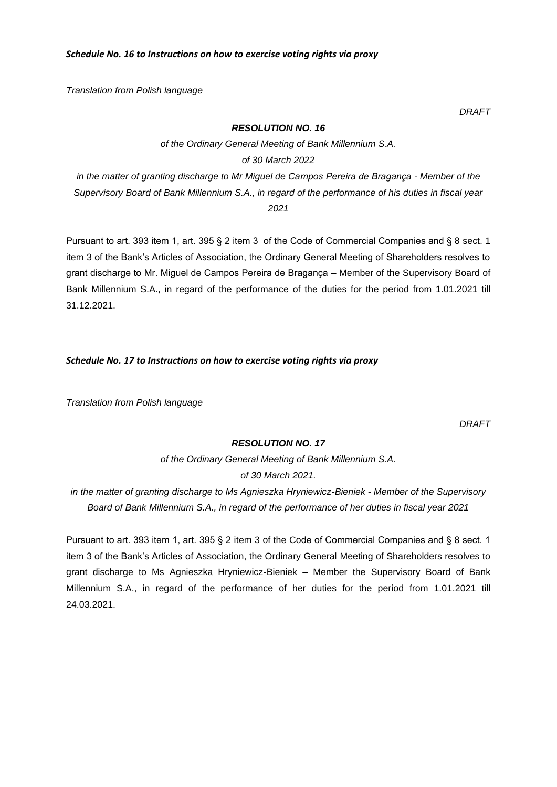*DRAFT*

## *RESOLUTION NO. 16*

# *of the Ordinary General Meeting of Bank Millennium S.A. of 30 March 2022*

*in the matter of granting discharge to Mr Miguel de Campos Pereira de Bragança - Member of the Supervisory Board of Bank Millennium S.A., in regard of the performance of his duties in fiscal year 2021*

Pursuant to art. 393 item 1, art. 395 § 2 item 3 of the Code of Commercial Companies and § 8 sect. 1 item 3 of the Bank's Articles of Association, the Ordinary General Meeting of Shareholders resolves to grant discharge to Mr. Miguel de Campos Pereira de Bragança – Member of the Supervisory Board of Bank Millennium S.A., in regard of the performance of the duties for the period from 1.01.2021 till 31.12.2021.

## *Schedule No. 17 to Instructions on how to exercise voting rights via proxy*

*Translation from Polish language*

*DRAFT*

### *RESOLUTION NO. 17*

*of the Ordinary General Meeting of Bank Millennium S.A. of 30 March 2021.* 

*in the matter of granting discharge to Ms Agnieszka Hryniewicz-Bieniek - Member of the Supervisory Board of Bank Millennium S.A., in regard of the performance of her duties in fiscal year 2021*

Pursuant to art. 393 item 1, art. 395 § 2 item 3 of the Code of Commercial Companies and § 8 sect. 1 item 3 of the Bank's Articles of Association, the Ordinary General Meeting of Shareholders resolves to grant discharge to Ms Agnieszka Hryniewicz-Bieniek – Member the Supervisory Board of Bank Millennium S.A., in regard of the performance of her duties for the period from 1.01.2021 till 24.03.2021.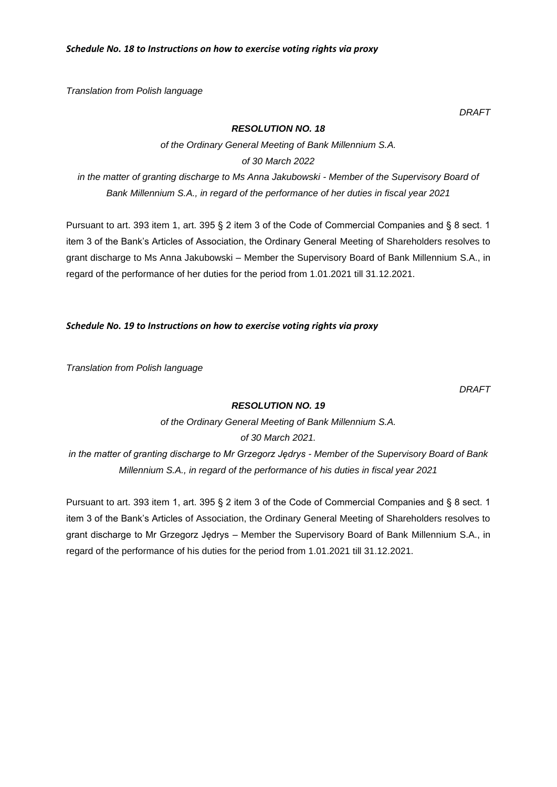*DRAFT*

# *RESOLUTION NO. 18*

*of the Ordinary General Meeting of Bank Millennium S.A. of 30 March 2022*

*in the matter of granting discharge to Ms Anna Jakubowski - Member of the Supervisory Board of Bank Millennium S.A., in regard of the performance of her duties in fiscal year 2021*

Pursuant to art. 393 item 1, art. 395 § 2 item 3 of the Code of Commercial Companies and § 8 sect. 1 item 3 of the Bank's Articles of Association, the Ordinary General Meeting of Shareholders resolves to grant discharge to Ms Anna Jakubowski – Member the Supervisory Board of Bank Millennium S.A., in regard of the performance of her duties for the period from 1.01.2021 till 31.12.2021.

## *Schedule No. 19 to Instructions on how to exercise voting rights via proxy*

*Translation from Polish language*

*DRAFT*

# *RESOLUTION NO. 19*

*of the Ordinary General Meeting of Bank Millennium S.A.* 

# *of 30 March 2021.*

*in the matter of granting discharge to Mr Grzegorz Jędrys - Member of the Supervisory Board of Bank Millennium S.A., in regard of the performance of his duties in fiscal year 2021*

Pursuant to art. 393 item 1, art. 395 § 2 item 3 of the Code of Commercial Companies and § 8 sect. 1 item 3 of the Bank's Articles of Association, the Ordinary General Meeting of Shareholders resolves to grant discharge to Mr Grzegorz Jędrys – Member the Supervisory Board of Bank Millennium S.A., in regard of the performance of his duties for the period from 1.01.2021 till 31.12.2021.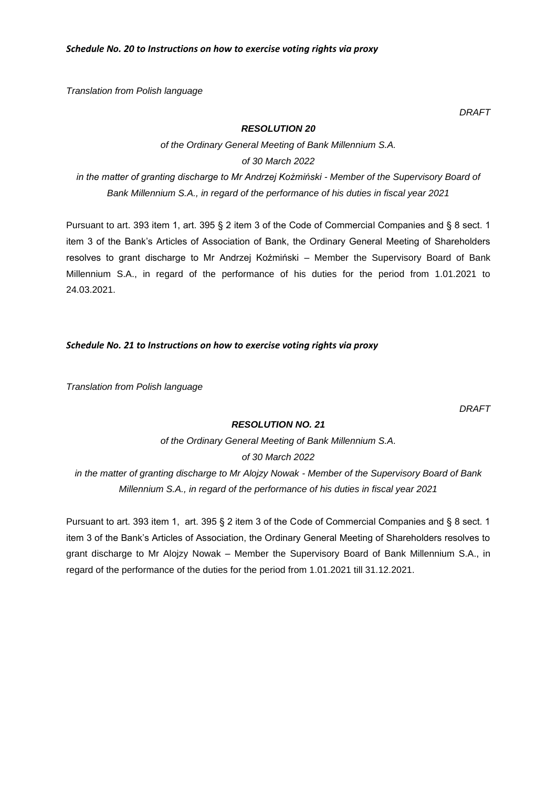*DRAFT*

## *RESOLUTION 20*

# *of the Ordinary General Meeting of Bank Millennium S.A. of 30 March 2022*

*in the matter of granting discharge to Mr Andrzej Koźmiński - Member of the Supervisory Board of Bank Millennium S.A., in regard of the performance of his duties in fiscal year 2021*

Pursuant to art. 393 item 1, art. 395 § 2 item 3 of the Code of Commercial Companies and § 8 sect. 1 item 3 of the Bank's Articles of Association of Bank, the Ordinary General Meeting of Shareholders resolves to grant discharge to Mr Andrzej Koźmiński – Member the Supervisory Board of Bank Millennium S.A., in regard of the performance of his duties for the period from 1.01.2021 to 24.03.2021.

## *Schedule No. 21 to Instructions on how to exercise voting rights via proxy*

*Translation from Polish language*

*DRAFT*

# *RESOLUTION NO. 21*

*of the Ordinary General Meeting of Bank Millennium S.A. of 30 March 2022*

*in the matter of granting discharge to Mr Alojzy Nowak - Member of the Supervisory Board of Bank Millennium S.A., in regard of the performance of his duties in fiscal year 2021*

Pursuant to art. 393 item 1, art. 395 § 2 item 3 of the Code of Commercial Companies and § 8 sect. 1 item 3 of the Bank's Articles of Association, the Ordinary General Meeting of Shareholders resolves to grant discharge to Mr Alojzy Nowak – Member the Supervisory Board of Bank Millennium S.A., in regard of the performance of the duties for the period from 1.01.2021 till 31.12.2021.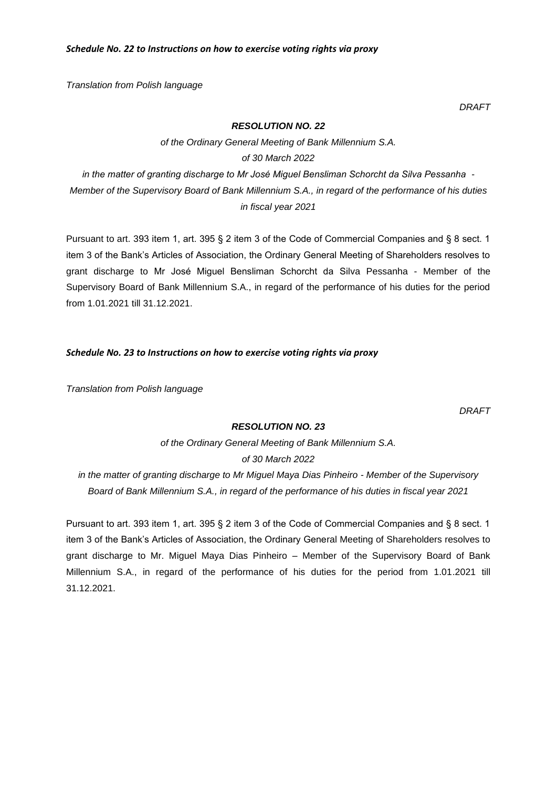*DRAFT*

#### *RESOLUTION NO. 22*

*of the Ordinary General Meeting of Bank Millennium S.A. of 30 March 2022*

*in the matter of granting discharge to Mr José Miguel Bensliman Schorcht da Silva Pessanha - Member of the Supervisory Board of Bank Millennium S.A., in regard of the performance of his duties in fiscal year 2021*

Pursuant to art. 393 item 1, art. 395 § 2 item 3 of the Code of Commercial Companies and § 8 sect. 1 item 3 of the Bank's Articles of Association, the Ordinary General Meeting of Shareholders resolves to grant discharge to Mr José Miguel Bensliman Schorcht da Silva Pessanha - Member of the Supervisory Board of Bank Millennium S.A., in regard of the performance of his duties for the period from 1.01.2021 till 31.12.2021.

#### *Schedule No. 23 to Instructions on how to exercise voting rights via proxy*

*Translation from Polish language*

*DRAFT*

## *RESOLUTION NO. 23*

*of the Ordinary General Meeting of Bank Millennium S.A. of 30 March 2022*

*in the matter of granting discharge to Mr Miguel Maya Dias Pinheiro - Member of the Supervisory Board of Bank Millennium S.A., in regard of the performance of his duties in fiscal year 2021*

Pursuant to art. 393 item 1, art. 395 § 2 item 3 of the Code of Commercial Companies and § 8 sect. 1 item 3 of the Bank's Articles of Association, the Ordinary General Meeting of Shareholders resolves to grant discharge to Mr. Miguel Maya Dias Pinheiro – Member of the Supervisory Board of Bank Millennium S.A., in regard of the performance of his duties for the period from 1.01.2021 till 31.12.2021.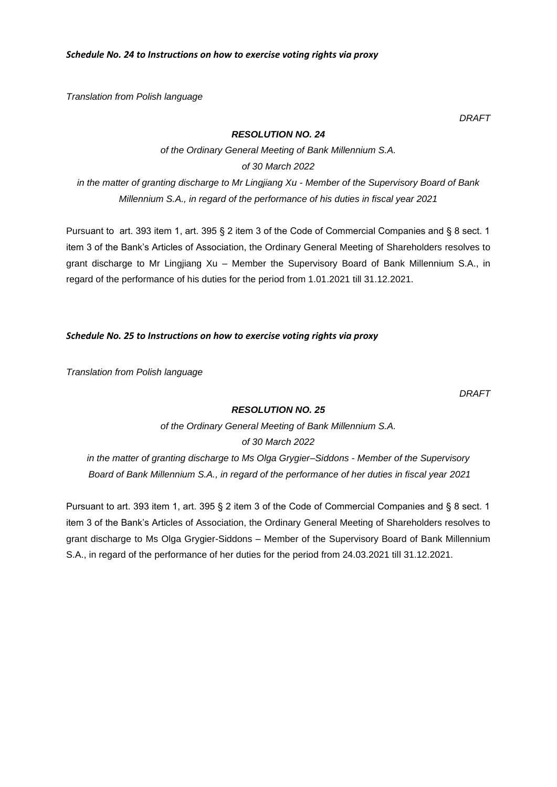*DRAFT*

# *RESOLUTION NO. 24*

*of the Ordinary General Meeting of Bank Millennium S.A. of 30 March 2022*

*in the matter of granting discharge to Mr Lingjiang Xu - Member of the Supervisory Board of Bank Millennium S.A., in regard of the performance of his duties in fiscal year 2021*

Pursuant to art. 393 item 1, art. 395 § 2 item 3 of the Code of Commercial Companies and § 8 sect. 1 item 3 of the Bank's Articles of Association, the Ordinary General Meeting of Shareholders resolves to grant discharge to Mr Lingjiang Xu – Member the Supervisory Board of Bank Millennium S.A., in regard of the performance of his duties for the period from 1.01.2021 till 31.12.2021.

# *Schedule No. 25 to Instructions on how to exercise voting rights via proxy*

*Translation from Polish language*

*DRAFT*

### *RESOLUTION NO. 25*

*of the Ordinary General Meeting of Bank Millennium S.A.* 

## *of 30 March 2022*

*in the matter of granting discharge to Ms Olga Grygier–Siddons - Member of the Supervisory Board of Bank Millennium S.A., in regard of the performance of her duties in fiscal year 2021*

Pursuant to art. 393 item 1, art. 395 § 2 item 3 of the Code of Commercial Companies and § 8 sect. 1 item 3 of the Bank's Articles of Association, the Ordinary General Meeting of Shareholders resolves to grant discharge to Ms Olga Grygier-Siddons – Member of the Supervisory Board of Bank Millennium S.A., in regard of the performance of her duties for the period from 24.03.2021 till 31.12.2021.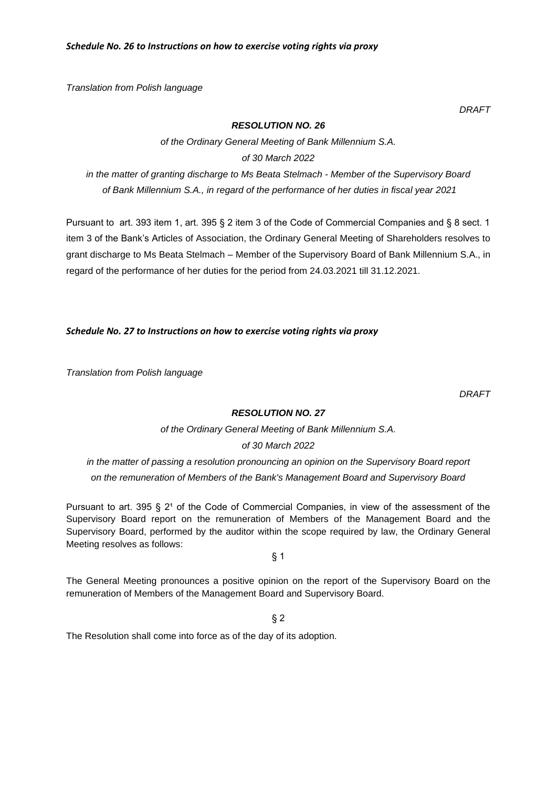*RESOLUTION NO. 26*

*of the Ordinary General Meeting of Bank Millennium S.A.* 

*of 30 March 2022*

*in the matter of granting discharge to Ms Beata Stelmach - Member of the Supervisory Board of Bank Millennium S.A., in regard of the performance of her duties in fiscal year 2021*

Pursuant to art. 393 item 1, art. 395 § 2 item 3 of the Code of Commercial Companies and § 8 sect. 1 item 3 of the Bank's Articles of Association, the Ordinary General Meeting of Shareholders resolves to grant discharge to Ms Beata Stelmach – Member of the Supervisory Board of Bank Millennium S.A., in regard of the performance of her duties for the period from 24.03.2021 till 31.12.2021.

## *Schedule No. 27 to Instructions on how to exercise voting rights via proxy*

*Translation from Polish language*

*DRAFT*

### *RESOLUTION NO. 27*

# *of the Ordinary General Meeting of Bank Millennium S.A. of 30 March 2022*

*in the matter of passing a resolution pronouncing an opinion on the Supervisory Board report on the remuneration of Members of the Bank's Management Board and Supervisory Board*

Pursuant to art. 395 § 2<sup>1</sup> of the Code of Commercial Companies, in view of the assessment of the Supervisory Board report on the remuneration of Members of the Management Board and the Supervisory Board, performed by the auditor within the scope required by law, the Ordinary General Meeting resolves as follows:

§ 1

The General Meeting pronounces a positive opinion on the report of the Supervisory Board on the remuneration of Members of the Management Board and Supervisory Board.

§ 2

The Resolution shall come into force as of the day of its adoption.

*DRAFT*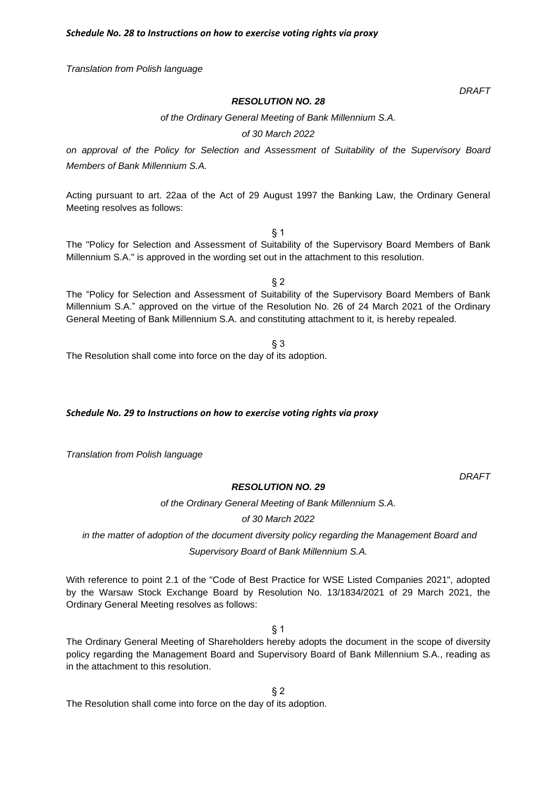*RESOLUTION NO. 28*

*of the Ordinary General Meeting of Bank Millennium S.A.*

*of 30 March 2022*

*on approval of the Policy for Selection and Assessment of Suitability of the Supervisory Board Members of Bank Millennium S.A.*

Acting pursuant to art. 22aa of the Act of 29 August 1997 the Banking Law, the Ordinary General Meeting resolves as follows:

§ 1 The "Policy for Selection and Assessment of Suitability of the Supervisory Board Members of Bank Millennium S.A." is approved in the wording set out in the attachment to this resolution.

§ 2 The "Policy for Selection and Assessment of Suitability of the Supervisory Board Members of Bank Millennium S.A." approved on the virtue of the Resolution No. 26 of 24 March 2021 of the Ordinary General Meeting of Bank Millennium S.A. and constituting attachment to it, is hereby repealed.

§ 3 The Resolution shall come into force on the day of its adoption.

### *Schedule No. 29 to Instructions on how to exercise voting rights via proxy*

*Translation from Polish language*

### *RESOLUTION NO. 29*

*of the Ordinary General Meeting of Bank Millennium S.A.*

### *of 30 March 2022*

*in the matter of adoption of the document diversity policy regarding the Management Board and Supervisory Board of Bank Millennium S.A.*

With reference to point 2.1 of the "Code of Best Practice for WSE Listed Companies 2021", adopted by the Warsaw Stock Exchange Board by Resolution No. 13/1834/2021 of 29 March 2021, the Ordinary General Meeting resolves as follows:

§ 1

The Ordinary General Meeting of Shareholders hereby adopts the document in the scope of diversity policy regarding the Management Board and Supervisory Board of Bank Millennium S.A., reading as in the attachment to this resolution.

§ 2

The Resolution shall come into force on the day of its adoption.

*DRAFT*

*DRAFT*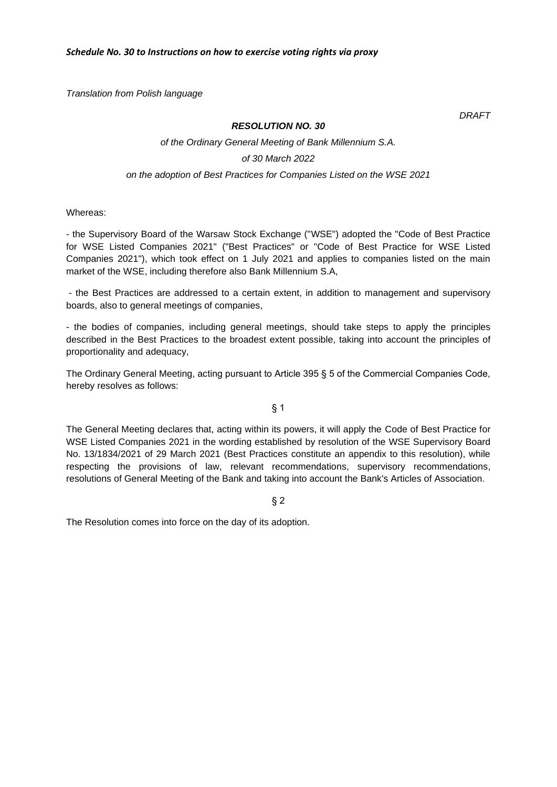*DRAFT*

# *RESOLUTION NO. 30*

# *of the Ordinary General Meeting of Bank Millennium S.A. of 30 March 2022 on the adoption of Best Practices for Companies Listed on the WSE 2021*

Whereas:

- the Supervisory Board of the Warsaw Stock Exchange ("WSE") adopted the "Code of Best Practice for WSE Listed Companies 2021" ("Best Practices" or "Code of Best Practice for WSE Listed Companies 2021"), which took effect on 1 July 2021 and applies to companies listed on the main market of the WSE, including therefore also Bank Millennium S.A,

- the Best Practices are addressed to a certain extent, in addition to management and supervisory boards, also to general meetings of companies,

- the bodies of companies, including general meetings, should take steps to apply the principles described in the Best Practices to the broadest extent possible, taking into account the principles of proportionality and adequacy,

The Ordinary General Meeting, acting pursuant to Article 395 § 5 of the Commercial Companies Code, hereby resolves as follows:

§ 1

The General Meeting declares that, acting within its powers, it will apply the Code of Best Practice for WSE Listed Companies 2021 in the wording established by resolution of the WSE Supervisory Board No. 13/1834/2021 of 29 March 2021 (Best Practices constitute an appendix to this resolution), while respecting the provisions of law, relevant recommendations, supervisory recommendations, resolutions of General Meeting of the Bank and taking into account the Bank's Articles of Association.

§ 2

The Resolution comes into force on the day of its adoption.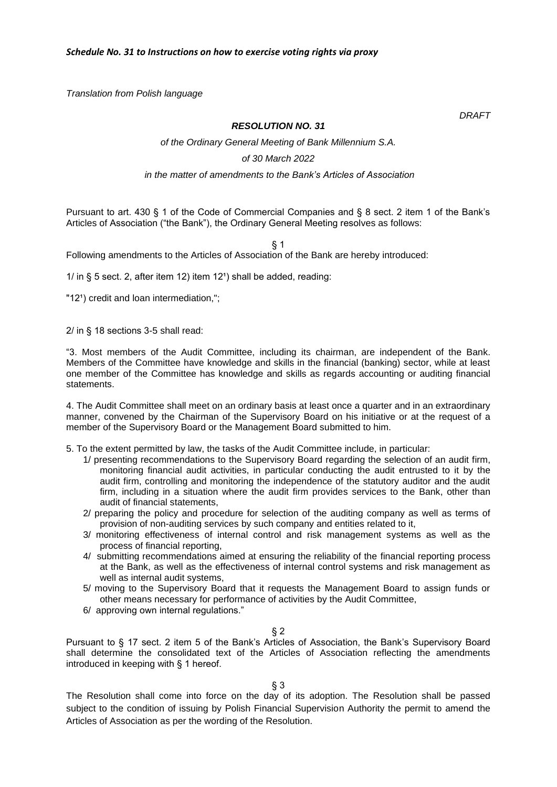*DRAFT*

## *RESOLUTION NO. 31*

*of the Ordinary General Meeting of Bank Millennium S.A.* 

#### *of 30 March 2022*

# *in the matter of amendments to the Bank's Articles of Association*

Pursuant to art. 430 § 1 of the Code of Commercial Companies and § 8 sect. 2 item 1 of the Bank's Articles of Association ("the Bank"), the Ordinary General Meeting resolves as follows:

§ 1

Following amendments to the Articles of Association of the Bank are hereby introduced:

1/ in  $\S$  5 sect. 2, after item 12) item 12<sup>1</sup>) shall be added, reading:

"12<sup>1</sup>) credit and loan intermediation,";

2/ in § 18 sections 3-5 shall read:

"3. Most members of the Audit Committee, including its chairman, are independent of the Bank. Members of the Committee have knowledge and skills in the financial (banking) sector, while at least one member of the Committee has knowledge and skills as regards accounting or auditing financial statements.

4. The Audit Committee shall meet on an ordinary basis at least once a quarter and in an extraordinary manner, convened by the Chairman of the Supervisory Board on his initiative or at the request of a member of the Supervisory Board or the Management Board submitted to him.

5. To the extent permitted by law, the tasks of the Audit Committee include, in particular:

- 1/ presenting recommendations to the Supervisory Board regarding the selection of an audit firm, monitoring financial audit activities, in particular conducting the audit entrusted to it by the audit firm, controlling and monitoring the independence of the statutory auditor and the audit firm, including in a situation where the audit firm provides services to the Bank, other than audit of financial statements,
- 2/ preparing the policy and procedure for selection of the auditing company as well as terms of provision of non-auditing services by such company and entities related to it,
- 3/ monitoring effectiveness of internal control and risk management systems as well as the process of financial reporting,
- 4/ submitting recommendations aimed at ensuring the reliability of the financial reporting process at the Bank, as well as the effectiveness of internal control systems and risk management as well as internal audit systems,
- 5/ moving to the Supervisory Board that it requests the Management Board to assign funds or other means necessary for performance of activities by the Audit Committee,
- 6/ approving own internal regulations."

§ 2

Pursuant to § 17 sect. 2 item 5 of the Bank's Articles of Association, the Bank's Supervisory Board shall determine the consolidated text of the Articles of Association reflecting the amendments introduced in keeping with § 1 hereof.

### § 3

The Resolution shall come into force on the day of its adoption. The Resolution shall be passed subject to the condition of issuing by Polish Financial Supervision Authority the permit to amend the Articles of Association as per the wording of the Resolution.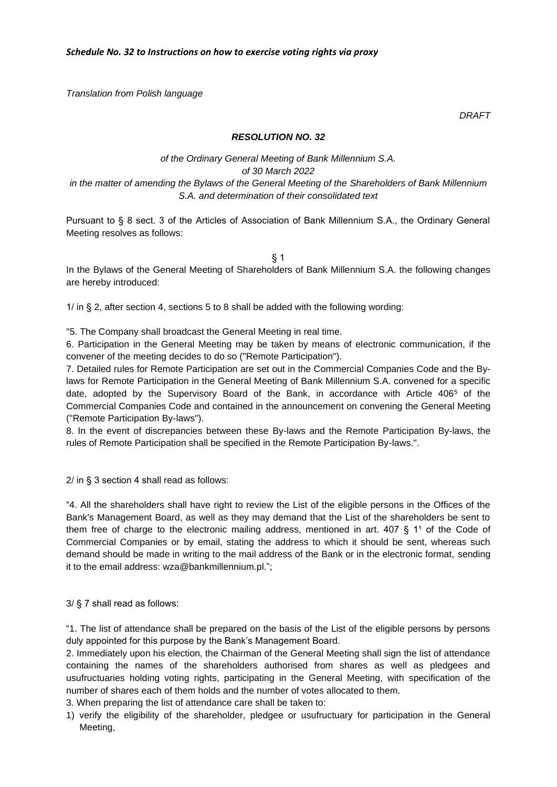*DRAFT*

# *RESOLUTION NO. 32*

# *of the Ordinary General Meeting of Bank Millennium S.A. of 30 March 2022 in the matter of amending the Bylaws of the General Meeting of the Shareholders of Bank Millennium S.A. and determination of their consolidated text*

Pursuant to § 8 sect. 3 of the Articles of Association of Bank Millennium S.A., the Ordinary General Meeting resolves as follows:

 $§$  1

In the Bylaws of the General Meeting of Shareholders of Bank Millennium S.A. the following changes are hereby introduced:

1/ in § 2, after section 4, sections 5 to 8 shall be added with the following wording:

"5. The Company shall broadcast the General Meeting in real time.

6. Participation in the General Meeting may be taken by means of electronic communication, if the convener of the meeting decides to do so ("Remote Participation").

7. Detailed rules for Remote Participation are set out in the Commercial Companies Code and the Bylaws for Remote Participation in the General Meeting of Bank Millennium S.A. convened for a specific date, adopted by the Supervisory Board of the Bank, in accordance with Article 406<sup>5</sup> of the Commercial Companies Code and contained in the announcement on convening the General Meeting ("Remote Participation By-laws").

8. In the event of discrepancies between these By-laws and the Remote Participation By-laws, the rules of Remote Participation shall be specified in the Remote Participation By-laws.".

2/ in § 3 section 4 shall read as follows:

"4. All the shareholders shall have right to review the List of the eligible persons in the Offices of the Bank's Management Board, as well as they may demand that the List of the shareholders be sent to them free of charge to the electronic mailing address, mentioned in art.  $407\,$  § 1<sup>1</sup> of the Code of Commercial Companies or by email, stating the address to which it should be sent, whereas such demand should be made in writing to the mail address of the Bank or in the electronic format, sending it to the email address: wza@bankmillennium.pl.";

3/ § 7 shall read as follows:

"1. The list of attendance shall be prepared on the basis of the List of the eligible persons by persons duly appointed for this purpose by the Bank's Management Board.

2. Immediately upon his election, the Chairman of the General Meeting shall sign the list of attendance containing the names of the shareholders authorised from shares as well as pledgees and usufructuaries holding voting rights, participating in the General Meeting, with specification of the number of shares each of them holds and the number of votes allocated to them.

3. When preparing the list of attendance care shall be taken to:

1) verify the eligibility of the shareholder, pledgee or usufructuary for participation in the General Meeting,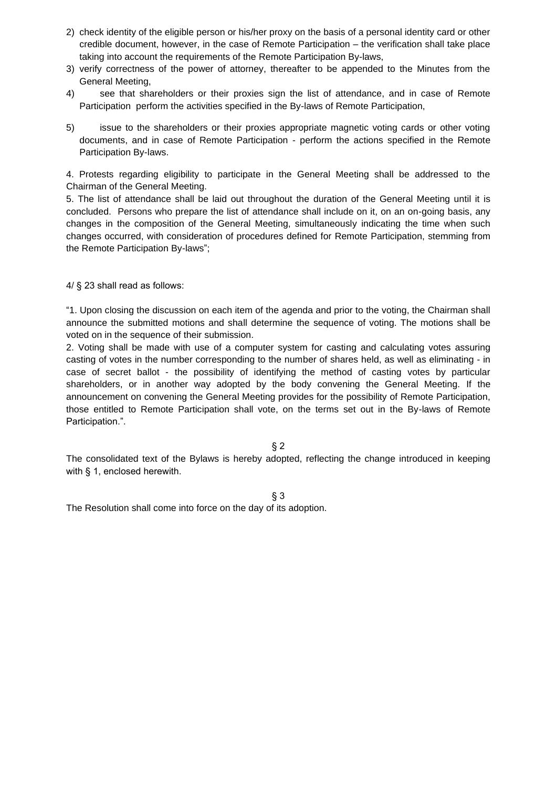- 2) check identity of the eligible person or his/her proxy on the basis of a personal identity card or other credible document, however, in the case of Remote Participation – the verification shall take place taking into account the requirements of the Remote Participation By-laws,
- 3) verify correctness of the power of attorney, thereafter to be appended to the Minutes from the General Meeting,
- 4) see that shareholders or their proxies sign the list of attendance, and in case of Remote Participation perform the activities specified in the By-laws of Remote Participation,
- 5) issue to the shareholders or their proxies appropriate magnetic voting cards or other voting documents, and in case of Remote Participation - perform the actions specified in the Remote Participation By-laws.

4. Protests regarding eligibility to participate in the General Meeting shall be addressed to the Chairman of the General Meeting.

5. The list of attendance shall be laid out throughout the duration of the General Meeting until it is concluded. Persons who prepare the list of attendance shall include on it, on an on-going basis, any changes in the composition of the General Meeting, simultaneously indicating the time when such changes occurred, with consideration of procedures defined for Remote Participation, stemming from the Remote Participation By-laws";

4/ § 23 shall read as follows:

"1. Upon closing the discussion on each item of the agenda and prior to the voting, the Chairman shall announce the submitted motions and shall determine the sequence of voting. The motions shall be voted on in the sequence of their submission.

2. Voting shall be made with use of a computer system for casting and calculating votes assuring casting of votes in the number corresponding to the number of shares held, as well as eliminating - in case of secret ballot - the possibility of identifying the method of casting votes by particular shareholders, or in another way adopted by the body convening the General Meeting. If the announcement on convening the General Meeting provides for the possibility of Remote Participation, those entitled to Remote Participation shall vote, on the terms set out in the By-laws of Remote Participation.".

§ 2

The consolidated text of the Bylaws is hereby adopted, reflecting the change introduced in keeping with § 1, enclosed herewith.

§ 3

The Resolution shall come into force on the day of its adoption.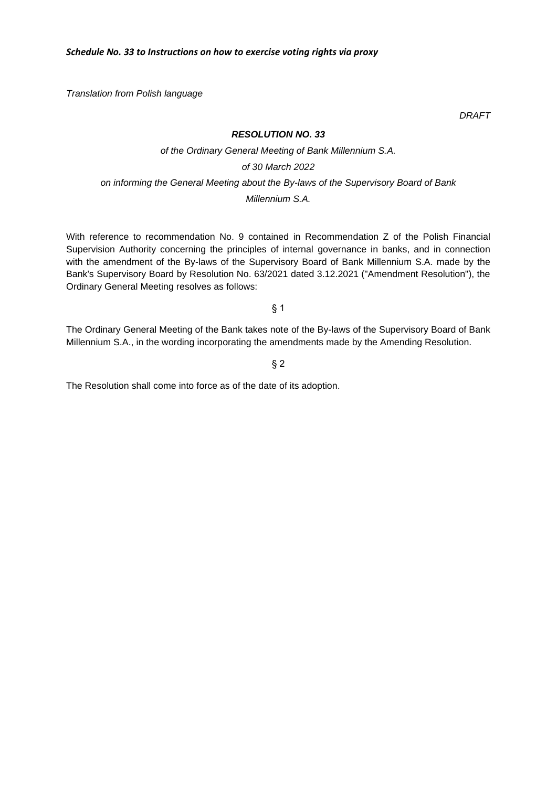*DRAFT*

# *RESOLUTION NO. 33*

# *of the Ordinary General Meeting of Bank Millennium S.A. of 30 March 2022 on informing the General Meeting about the By-laws of the Supervisory Board of Bank Millennium S.A.*

With reference to recommendation No. 9 contained in Recommendation Z of the Polish Financial Supervision Authority concerning the principles of internal governance in banks, and in connection with the amendment of the By-laws of the Supervisory Board of Bank Millennium S.A. made by the Bank's Supervisory Board by Resolution No. 63/2021 dated 3.12.2021 ("Amendment Resolution"), the Ordinary General Meeting resolves as follows:

§ 1

The Ordinary General Meeting of the Bank takes note of the By-laws of the Supervisory Board of Bank Millennium S.A., in the wording incorporating the amendments made by the Amending Resolution.

§ 2

The Resolution shall come into force as of the date of its adoption.